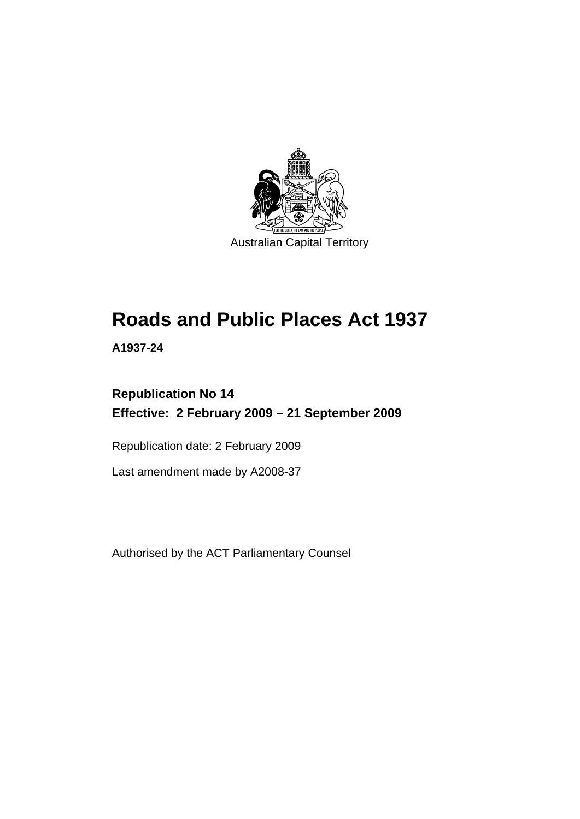

# **[Roads and Public Places Act 1937](#page-6-0)**

**A1937-24** 

# **Republication No 14 Effective: 2 February 2009 – 21 September 2009**

Republication date: 2 February 2009

Last amendment made by A2008-37

Authorised by the ACT Parliamentary Counsel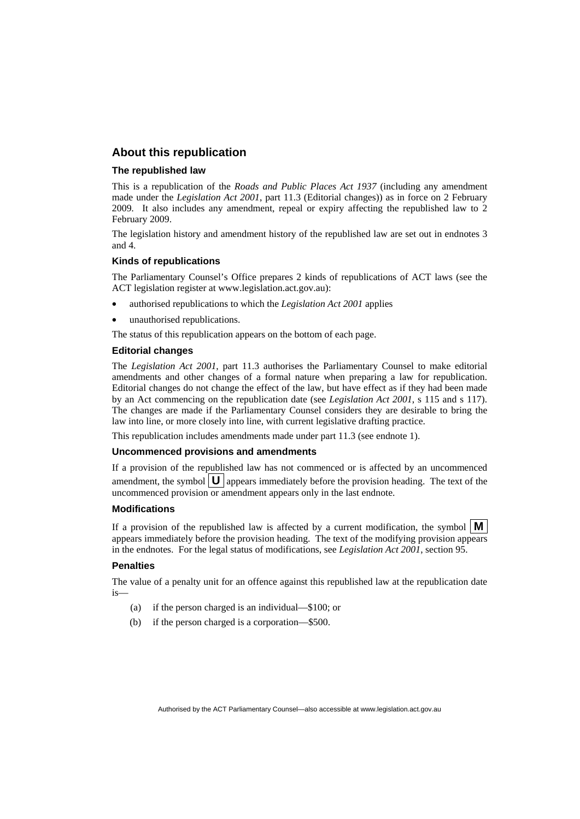# **About this republication**

### **The republished law**

This is a republication of the *Roads and Public Places Act 1937* (including any amendment made under the *Legislation Act 2001*, part 11.3 (Editorial changes)) as in force on 2 February 2009*.* It also includes any amendment, repeal or expiry affecting the republished law to 2 February 2009.

The legislation history and amendment history of the republished law are set out in endnotes 3 and 4.

### **Kinds of republications**

The Parliamentary Counsel's Office prepares 2 kinds of republications of ACT laws (see the ACT legislation register at www.legislation.act.gov.au):

- authorised republications to which the *Legislation Act 2001* applies
- unauthorised republications.

The status of this republication appears on the bottom of each page.

### **Editorial changes**

The *Legislation Act 2001*, part 11.3 authorises the Parliamentary Counsel to make editorial amendments and other changes of a formal nature when preparing a law for republication. Editorial changes do not change the effect of the law, but have effect as if they had been made by an Act commencing on the republication date (see *Legislation Act 2001*, s 115 and s 117). The changes are made if the Parliamentary Counsel considers they are desirable to bring the law into line, or more closely into line, with current legislative drafting practice.

This republication includes amendments made under part 11.3 (see endnote 1).

### **Uncommenced provisions and amendments**

If a provision of the republished law has not commenced or is affected by an uncommenced amendment, the symbol  $\mathbf{U}$  appears immediately before the provision heading. The text of the uncommenced provision or amendment appears only in the last endnote.

### **Modifications**

If a provision of the republished law is affected by a current modification, the symbol  $\mathbf{M}$ appears immediately before the provision heading. The text of the modifying provision appears in the endnotes. For the legal status of modifications, see *Legislation Act 2001*, section 95.

### **Penalties**

The value of a penalty unit for an offence against this republished law at the republication date is—

- (a) if the person charged is an individual—\$100; or
- (b) if the person charged is a corporation—\$500.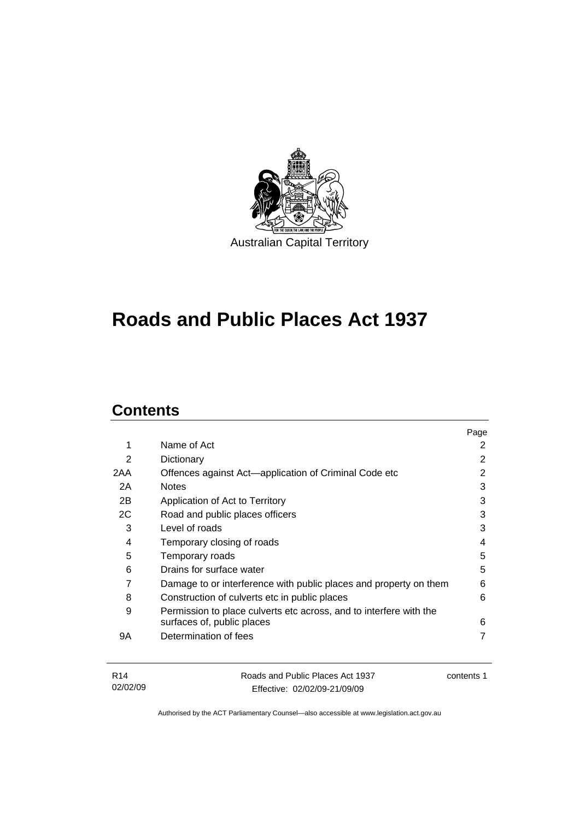

# **[Roads and Public Places Act 1937](#page-6-0)**

# **Contents**

|     |                                                                    | Page |
|-----|--------------------------------------------------------------------|------|
| 1   | Name of Act                                                        | 2    |
| 2   | Dictionary                                                         | 2    |
| 2AA | Offences against Act—application of Criminal Code etc              | 2    |
| 2A  | <b>Notes</b>                                                       | 3    |
| 2B  | Application of Act to Territory                                    | 3    |
| 2C  | Road and public places officers                                    | 3    |
| 3   | Level of roads                                                     | 3    |
| 4   | Temporary closing of roads                                         | 4    |
| 5   | Temporary roads                                                    | 5    |
| 6   | Drains for surface water                                           | 5    |
| 7   | Damage to or interference with public places and property on them  | 6    |
| 8   | Construction of culverts etc in public places                      | 6    |
| 9   | Permission to place culverts etc across, and to interfere with the |      |
|     | surfaces of, public places                                         | 6    |
| 9Α  | Determination of fees                                              | 7    |
|     |                                                                    |      |

| R14      | Roads and Public Places Act 1937 | contents 1 |
|----------|----------------------------------|------------|
| 02/02/09 | Effective: 02/02/09-21/09/09     |            |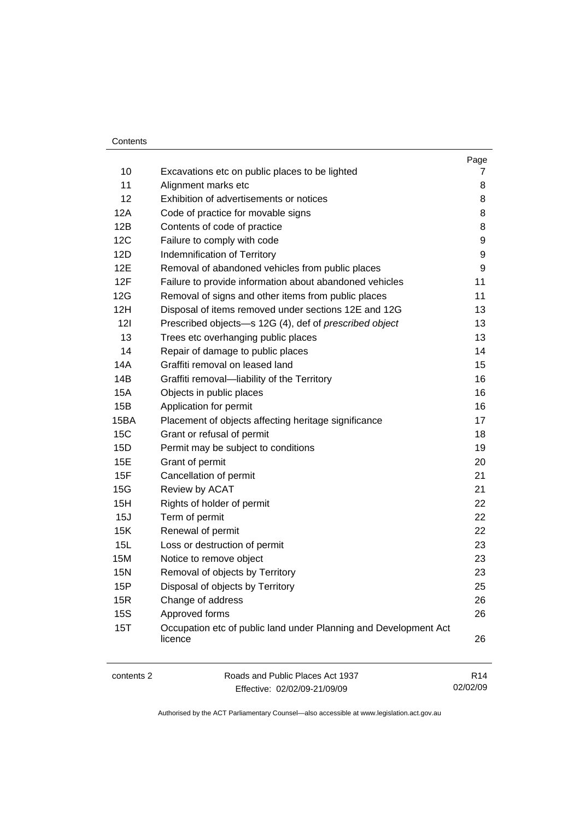### Contents

|            |                                                                             | Page            |
|------------|-----------------------------------------------------------------------------|-----------------|
| 10         | Excavations etc on public places to be lighted                              | 7               |
| 11         | Alignment marks etc                                                         | 8               |
| 12         | Exhibition of advertisements or notices                                     | 8               |
| 12A        | Code of practice for movable signs                                          | 8               |
| 12B        | Contents of code of practice                                                | 8               |
| 12C        | Failure to comply with code                                                 | 9               |
| 12D        | Indemnification of Territory                                                | 9               |
| 12E        | Removal of abandoned vehicles from public places                            | 9               |
| 12F        | Failure to provide information about abandoned vehicles                     | 11              |
| 12G        | Removal of signs and other items from public places                         | 11              |
| 12H        | Disposal of items removed under sections 12E and 12G                        | 13              |
| 121        | Prescribed objects-s 12G (4), def of prescribed object                      | 13              |
| 13         | Trees etc overhanging public places                                         | 13              |
| 14         | Repair of damage to public places                                           | 14              |
| 14A        | Graffiti removal on leased land                                             | 15              |
| 14B        | Graffiti removal-liability of the Territory                                 | 16              |
| 15A        | Objects in public places                                                    | 16              |
| 15B        | Application for permit                                                      | 16              |
| 15BA       | Placement of objects affecting heritage significance                        | 17              |
| <b>15C</b> | Grant or refusal of permit                                                  | 18              |
| 15D        | Permit may be subject to conditions                                         | 19              |
| 15E        | Grant of permit                                                             | 20              |
| 15F        | Cancellation of permit                                                      | 21              |
| 15G        | Review by ACAT                                                              | 21              |
| 15H        | Rights of holder of permit                                                  | 22              |
| 15J        | Term of permit                                                              | 22              |
| 15K        | Renewal of permit                                                           | 22              |
| 15L        | Loss or destruction of permit                                               | 23              |
| 15M        | Notice to remove object                                                     | 23              |
| <b>15N</b> | Removal of objects by Territory                                             | 23              |
| 15P        | Disposal of objects by Territory                                            | 25              |
| 15R        | Change of address                                                           | 26              |
| <b>15S</b> | Approved forms                                                              | 26              |
| 15T        | Occupation etc of public land under Planning and Development Act<br>licence | 26              |
| contents 2 | Roads and Public Places Act 1937                                            | R <sub>14</sub> |

Effective: 02/02/09-21/09/09

02/02/09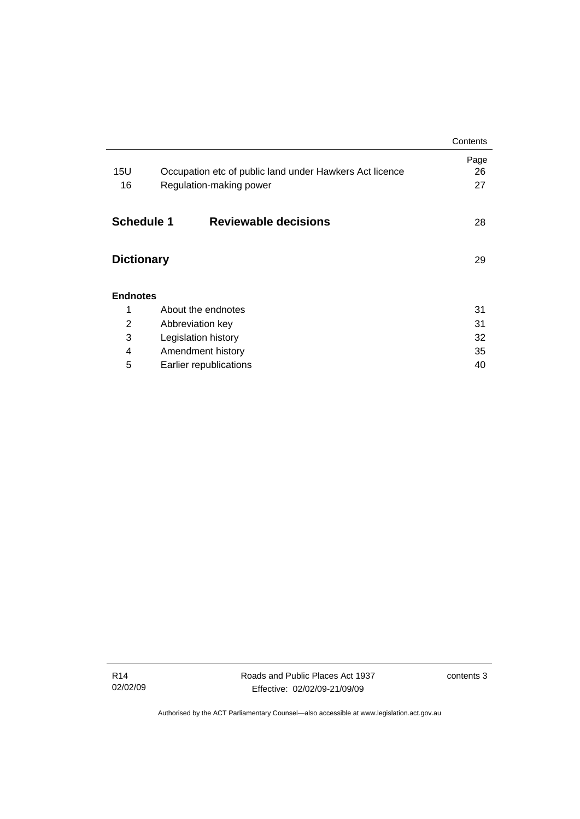|                   |                                                         | Contents |
|-------------------|---------------------------------------------------------|----------|
|                   |                                                         | Page     |
| 15U               | Occupation etc of public land under Hawkers Act licence | 26       |
| 16                | Regulation-making power                                 | 27       |
|                   |                                                         |          |
| <b>Schedule 1</b> | <b>Reviewable decisions</b>                             | 28       |
|                   |                                                         |          |
| <b>Dictionary</b> |                                                         |          |
|                   |                                                         |          |
| <b>Endnotes</b>   |                                                         |          |
| 1                 | About the endnotes                                      | 31       |
| $\overline{2}$    | Abbreviation key                                        | 31       |
| 3                 | Legislation history                                     | 32       |
| 4                 | Amendment history                                       | 35       |
| 5                 | Earlier republications                                  | 40       |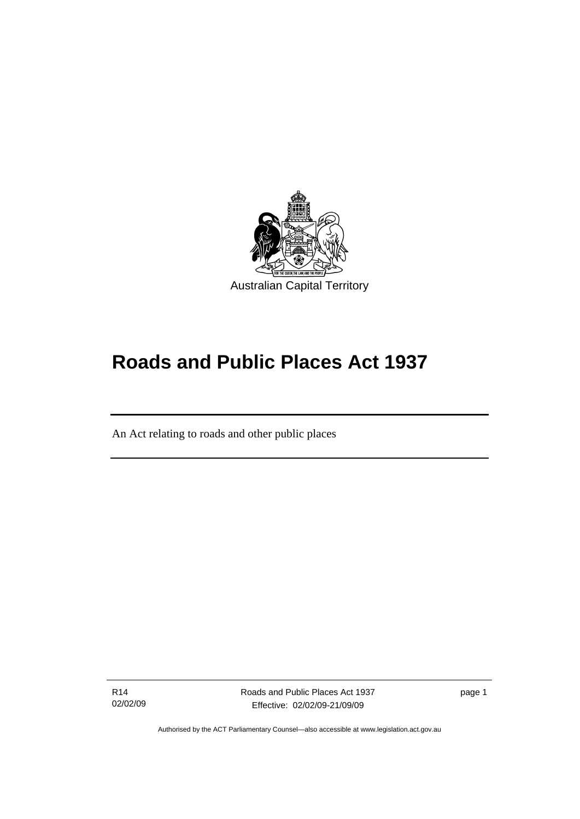<span id="page-6-0"></span>

# **Roads and Public Places Act 1937**

An Act relating to roads and other public places

R14 02/02/09

ׇ֚֡֬

Roads and Public Places Act 1937 Effective: 02/02/09-21/09/09

page 1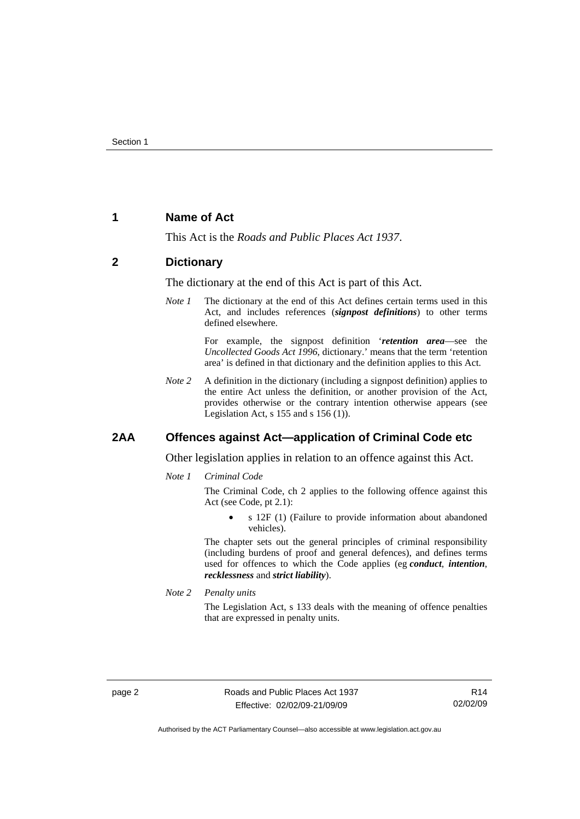# <span id="page-7-0"></span>**1 Name of Act**

This Act is the *Roads and Public Places Act 1937*.

# **2 Dictionary**

The dictionary at the end of this Act is part of this Act.

*Note 1* The dictionary at the end of this Act defines certain terms used in this Act, and includes references (*signpost definitions*) to other terms defined elsewhere.

> For example, the signpost definition '*retention area*—see the *Uncollected Goods Act 1996*, dictionary.' means that the term 'retention area' is defined in that dictionary and the definition applies to this Act.

*Note 2* A definition in the dictionary (including a signpost definition) applies to the entire Act unless the definition, or another provision of the Act, provides otherwise or the contrary intention otherwise appears (see Legislation Act,  $s$  155 and  $s$  156 (1)).

## **2AA Offences against Act—application of Criminal Code etc**

Other legislation applies in relation to an offence against this Act.

*Note 1 Criminal Code*

The Criminal Code, ch 2 applies to the following offence against this Act (see Code, pt 2.1):

• s 12F (1) (Failure to provide information about abandoned vehicles).

The chapter sets out the general principles of criminal responsibility (including burdens of proof and general defences), and defines terms used for offences to which the Code applies (eg *conduct*, *intention*, *recklessness* and *strict liability*).

*Note 2 Penalty units* 

The Legislation Act, s 133 deals with the meaning of offence penalties that are expressed in penalty units.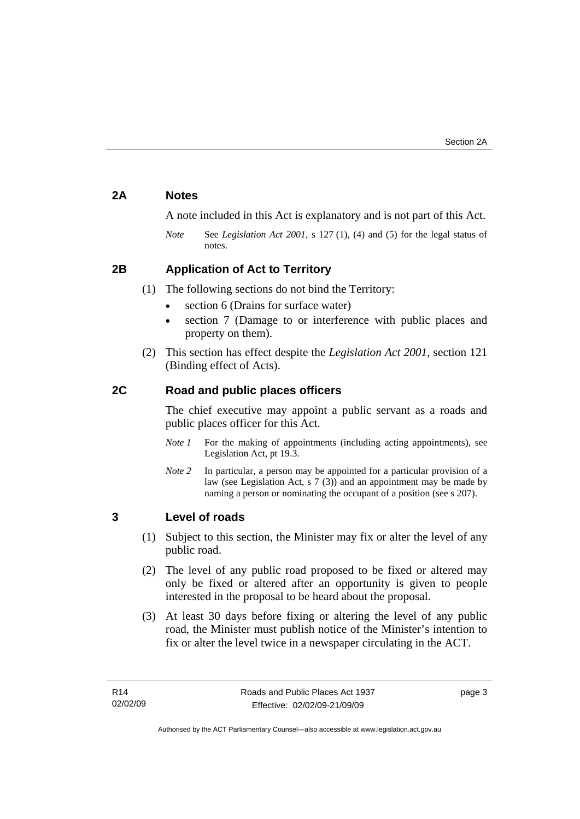# <span id="page-8-0"></span>**2A Notes**

A note included in this Act is explanatory and is not part of this Act.

*Note* See *Legislation Act 2001*, s 127 (1), (4) and (5) for the legal status of notes.

# **2B Application of Act to Territory**

- (1) The following sections do not bind the Territory:
	- section 6 (Drains for surface water)
	- section 7 (Damage to or interference with public places and property on them).
- (2) This section has effect despite the *Legislation Act 2001*, section 121 (Binding effect of Acts).

# **2C Road and public places officers**

The chief executive may appoint a public servant as a roads and public places officer for this Act.

- *Note 1* For the making of appointments (including acting appointments), see Legislation Act, pt 19.3.
- *Note 2* In particular, a person may be appointed for a particular provision of a law (see Legislation Act, s 7 (3)) and an appointment may be made by naming a person or nominating the occupant of a position (see s 207).

# **3 Level of roads**

- (1) Subject to this section, the Minister may fix or alter the level of any public road.
- (2) The level of any public road proposed to be fixed or altered may only be fixed or altered after an opportunity is given to people interested in the proposal to be heard about the proposal.
- (3) At least 30 days before fixing or altering the level of any public road, the Minister must publish notice of the Minister's intention to fix or alter the level twice in a newspaper circulating in the ACT.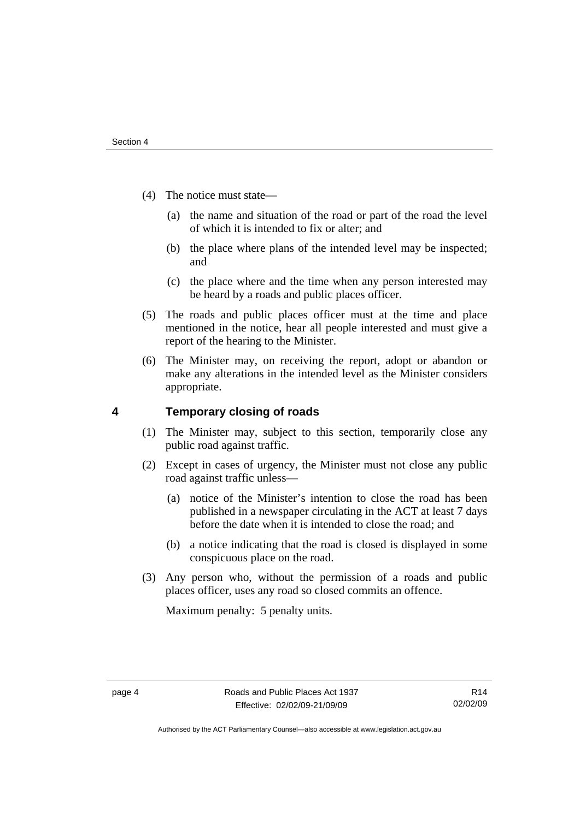- <span id="page-9-0"></span> (4) The notice must state—
	- (a) the name and situation of the road or part of the road the level of which it is intended to fix or alter; and
	- (b) the place where plans of the intended level may be inspected; and
	- (c) the place where and the time when any person interested may be heard by a roads and public places officer.
- (5) The roads and public places officer must at the time and place mentioned in the notice, hear all people interested and must give a report of the hearing to the Minister.
- (6) The Minister may, on receiving the report, adopt or abandon or make any alterations in the intended level as the Minister considers appropriate.

# **4 Temporary closing of roads**

- (1) The Minister may, subject to this section, temporarily close any public road against traffic.
- (2) Except in cases of urgency, the Minister must not close any public road against traffic unless—
	- (a) notice of the Minister's intention to close the road has been published in a newspaper circulating in the ACT at least 7 days before the date when it is intended to close the road; and
	- (b) a notice indicating that the road is closed is displayed in some conspicuous place on the road.
- (3) Any person who, without the permission of a roads and public places officer, uses any road so closed commits an offence.

Maximum penalty: 5 penalty units.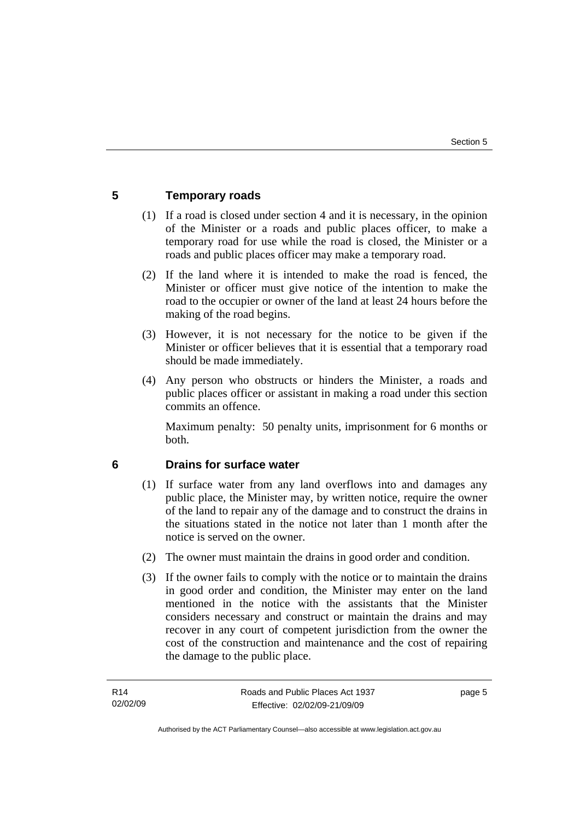# <span id="page-10-0"></span>**5 Temporary roads**

- (1) If a road is closed under section 4 and it is necessary, in the opinion of the Minister or a roads and public places officer, to make a temporary road for use while the road is closed, the Minister or a roads and public places officer may make a temporary road.
- (2) If the land where it is intended to make the road is fenced, the Minister or officer must give notice of the intention to make the road to the occupier or owner of the land at least 24 hours before the making of the road begins.
- (3) However, it is not necessary for the notice to be given if the Minister or officer believes that it is essential that a temporary road should be made immediately.
- (4) Any person who obstructs or hinders the Minister, a roads and public places officer or assistant in making a road under this section commits an offence.

Maximum penalty: 50 penalty units, imprisonment for 6 months or both.

# **6 Drains for surface water**

- (1) If surface water from any land overflows into and damages any public place, the Minister may, by written notice, require the owner of the land to repair any of the damage and to construct the drains in the situations stated in the notice not later than 1 month after the notice is served on the owner.
- (2) The owner must maintain the drains in good order and condition.
- (3) If the owner fails to comply with the notice or to maintain the drains in good order and condition, the Minister may enter on the land mentioned in the notice with the assistants that the Minister considers necessary and construct or maintain the drains and may recover in any court of competent jurisdiction from the owner the cost of the construction and maintenance and the cost of repairing the damage to the public place.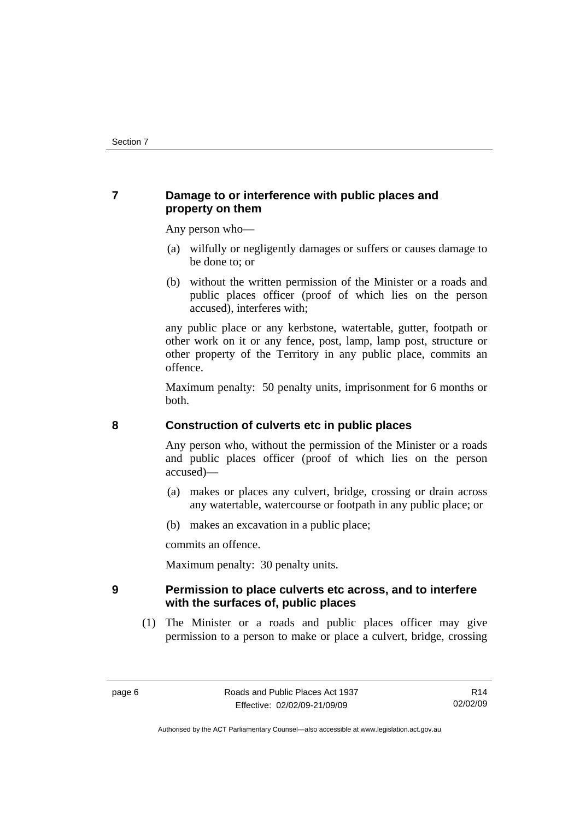# <span id="page-11-0"></span>**7 Damage to or interference with public places and property on them**

Any person who—

- (a) wilfully or negligently damages or suffers or causes damage to be done to; or
- (b) without the written permission of the Minister or a roads and public places officer (proof of which lies on the person accused), interferes with;

any public place or any kerbstone, watertable, gutter, footpath or other work on it or any fence, post, lamp, lamp post, structure or other property of the Territory in any public place, commits an offence.

Maximum penalty: 50 penalty units, imprisonment for 6 months or both.

# **8 Construction of culverts etc in public places**

Any person who, without the permission of the Minister or a roads and public places officer (proof of which lies on the person accused)—

- (a) makes or places any culvert, bridge, crossing or drain across any watertable, watercourse or footpath in any public place; or
- (b) makes an excavation in a public place;

commits an offence.

Maximum penalty: 30 penalty units.

# **9 Permission to place culverts etc across, and to interfere with the surfaces of, public places**

 (1) The Minister or a roads and public places officer may give permission to a person to make or place a culvert, bridge, crossing

Authorised by the ACT Parliamentary Counsel—also accessible at www.legislation.act.gov.au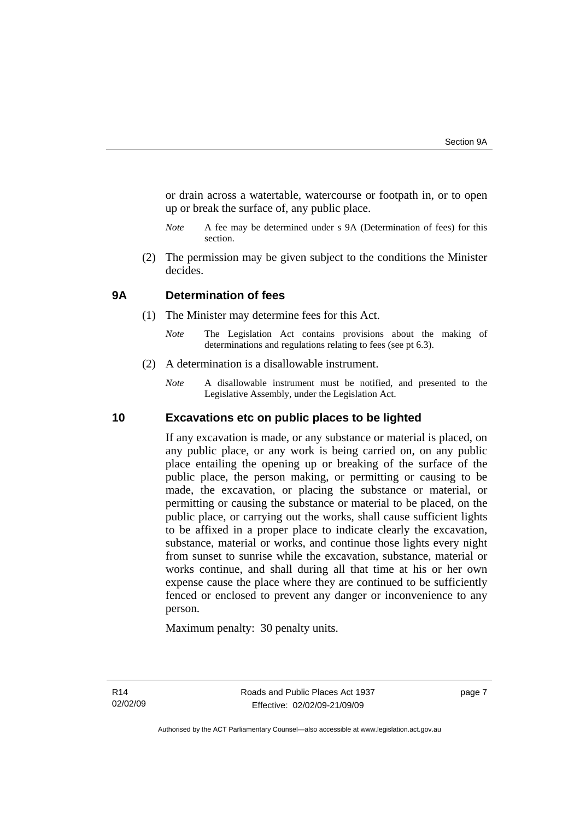<span id="page-12-0"></span>or drain across a watertable, watercourse or footpath in, or to open up or break the surface of, any public place.

- *Note* A fee may be determined under s 9A (Determination of fees) for this section.
- (2) The permission may be given subject to the conditions the Minister decides.

# **9A Determination of fees**

- (1) The Minister may determine fees for this Act.
	- *Note* The Legislation Act contains provisions about the making of determinations and regulations relating to fees (see pt 6.3).
- (2) A determination is a disallowable instrument.
	- *Note* A disallowable instrument must be notified, and presented to the Legislative Assembly, under the Legislation Act.

## **10 Excavations etc on public places to be lighted**

If any excavation is made, or any substance or material is placed, on any public place, or any work is being carried on, on any public place entailing the opening up or breaking of the surface of the public place, the person making, or permitting or causing to be made, the excavation, or placing the substance or material, or permitting or causing the substance or material to be placed, on the public place, or carrying out the works, shall cause sufficient lights to be affixed in a proper place to indicate clearly the excavation, substance, material or works, and continue those lights every night from sunset to sunrise while the excavation, substance, material or works continue, and shall during all that time at his or her own expense cause the place where they are continued to be sufficiently fenced or enclosed to prevent any danger or inconvenience to any person.

Maximum penalty: 30 penalty units.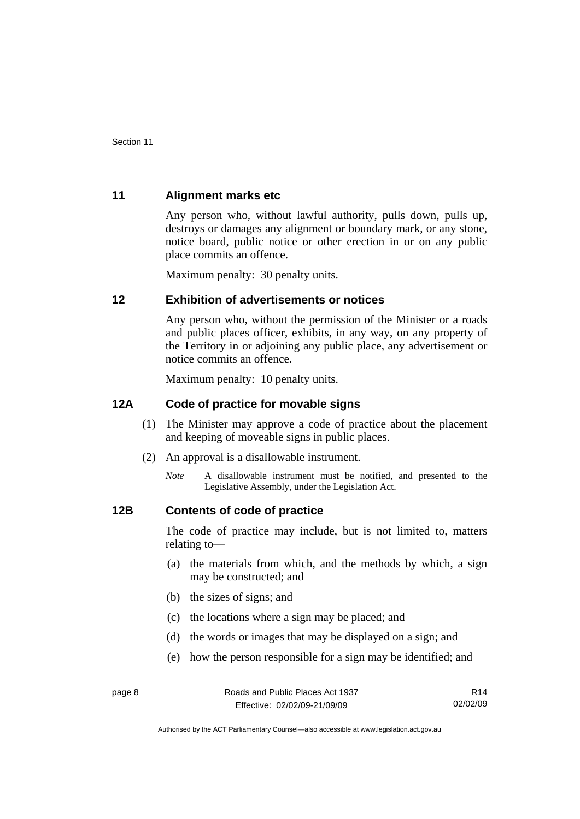# <span id="page-13-0"></span>**11 Alignment marks etc**

Any person who, without lawful authority, pulls down, pulls up, destroys or damages any alignment or boundary mark, or any stone, notice board, public notice or other erection in or on any public place commits an offence.

Maximum penalty: 30 penalty units.

# **12 Exhibition of advertisements or notices**

Any person who, without the permission of the Minister or a roads and public places officer, exhibits, in any way, on any property of the Territory in or adjoining any public place, any advertisement or notice commits an offence.

Maximum penalty: 10 penalty units.

# **12A Code of practice for movable signs**

- (1) The Minister may approve a code of practice about the placement and keeping of moveable signs in public places.
- (2) An approval is a disallowable instrument.
	- *Note* A disallowable instrument must be notified, and presented to the Legislative Assembly, under the Legislation Act.

# **12B Contents of code of practice**

The code of practice may include, but is not limited to, matters relating to—

- (a) the materials from which, and the methods by which, a sign may be constructed; and
- (b) the sizes of signs; and
- (c) the locations where a sign may be placed; and
- (d) the words or images that may be displayed on a sign; and
- (e) how the person responsible for a sign may be identified; and

R14 02/02/09

Authorised by the ACT Parliamentary Counsel—also accessible at www.legislation.act.gov.au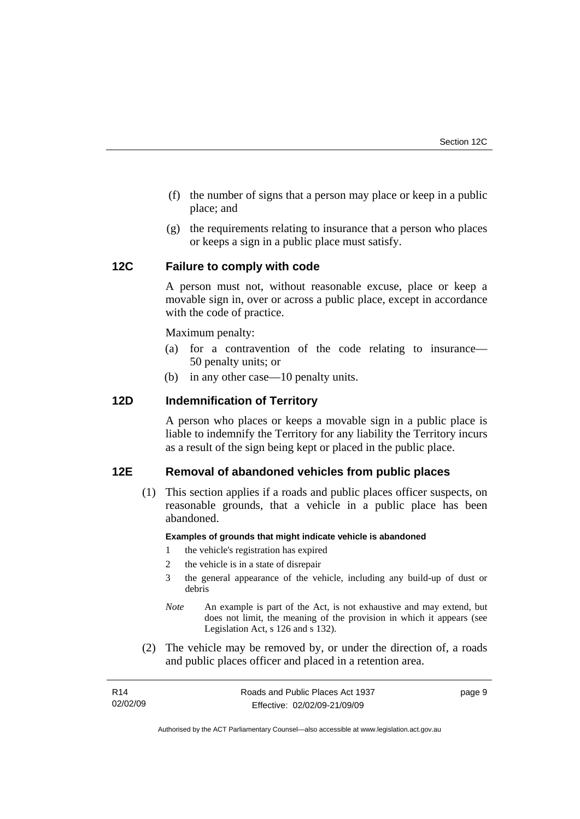- <span id="page-14-0"></span> (f) the number of signs that a person may place or keep in a public place; and
- (g) the requirements relating to insurance that a person who places or keeps a sign in a public place must satisfy.

# **12C Failure to comply with code**

A person must not, without reasonable excuse, place or keep a movable sign in, over or across a public place, except in accordance with the code of practice.

Maximum penalty:

- (a) for a contravention of the code relating to insurance— 50 penalty units; or
- (b) in any other case—10 penalty units.

# **12D Indemnification of Territory**

A person who places or keeps a movable sign in a public place is liable to indemnify the Territory for any liability the Territory incurs as a result of the sign being kept or placed in the public place.

# **12E Removal of abandoned vehicles from public places**

 (1) This section applies if a roads and public places officer suspects, on reasonable grounds, that a vehicle in a public place has been abandoned.

### **Examples of grounds that might indicate vehicle is abandoned**

- 1 the vehicle's registration has expired
- 2 the vehicle is in a state of disrepair
- 3 the general appearance of the vehicle, including any build-up of dust or debris
- *Note* An example is part of the Act, is not exhaustive and may extend, but does not limit, the meaning of the provision in which it appears (see Legislation Act, s 126 and s 132).
- (2) The vehicle may be removed by, or under the direction of, a roads and public places officer and placed in a retention area.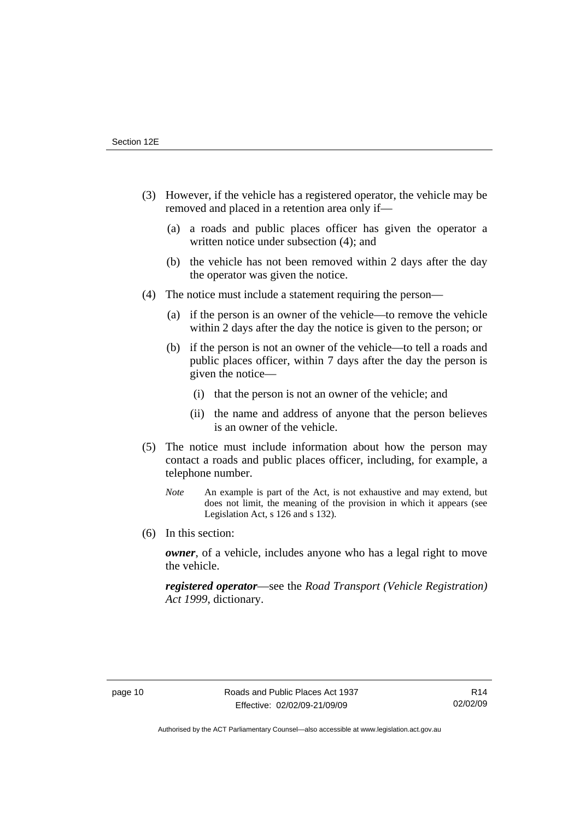- (3) However, if the vehicle has a registered operator, the vehicle may be removed and placed in a retention area only if—
	- (a) a roads and public places officer has given the operator a written notice under subsection (4); and
	- (b) the vehicle has not been removed within 2 days after the day the operator was given the notice.
- (4) The notice must include a statement requiring the person—
	- (a) if the person is an owner of the vehicle—to remove the vehicle within 2 days after the day the notice is given to the person; or
	- (b) if the person is not an owner of the vehicle—to tell a roads and public places officer, within 7 days after the day the person is given the notice—
		- (i) that the person is not an owner of the vehicle; and
		- (ii) the name and address of anyone that the person believes is an owner of the vehicle.
- (5) The notice must include information about how the person may contact a roads and public places officer, including, for example, a telephone number.
	- *Note* An example is part of the Act, is not exhaustive and may extend, but does not limit, the meaning of the provision in which it appears (see Legislation Act, s 126 and s 132).
- (6) In this section:

*owner*, of a vehicle, includes anyone who has a legal right to move the vehicle.

*registered operator*—see the *Road Transport (Vehicle Registration) Act 1999*, dictionary.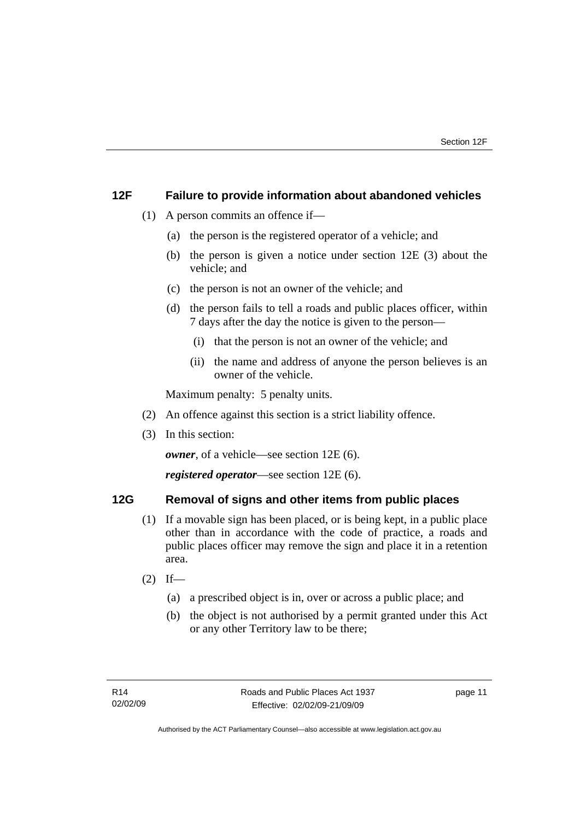# <span id="page-16-0"></span>**12F Failure to provide information about abandoned vehicles**

- (1) A person commits an offence if—
	- (a) the person is the registered operator of a vehicle; and
	- (b) the person is given a notice under section 12E (3) about the vehicle; and
	- (c) the person is not an owner of the vehicle; and
	- (d) the person fails to tell a roads and public places officer, within 7 days after the day the notice is given to the person—
		- (i) that the person is not an owner of the vehicle; and
		- (ii) the name and address of anyone the person believes is an owner of the vehicle.

Maximum penalty: 5 penalty units.

- (2) An offence against this section is a strict liability offence.
- (3) In this section:

*owner*, of a vehicle—see section 12E (6).

*registered operator*—see section 12E (6).

# **12G Removal of signs and other items from public places**

- (1) If a movable sign has been placed, or is being kept, in a public place other than in accordance with the code of practice, a roads and public places officer may remove the sign and place it in a retention area.
- $(2)$  If—
	- (a) a prescribed object is in, over or across a public place; and
	- (b) the object is not authorised by a permit granted under this Act or any other Territory law to be there;

page 11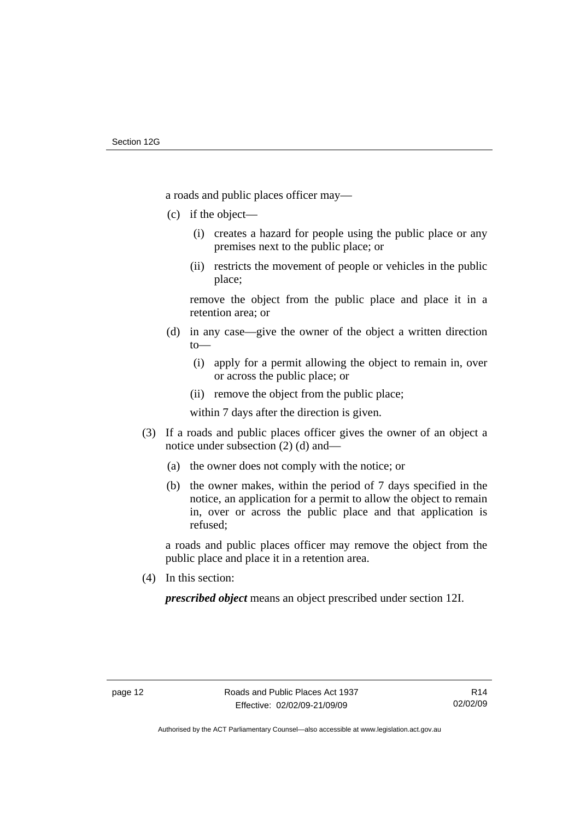a roads and public places officer may—

- (c) if the object—
	- (i) creates a hazard for people using the public place or any premises next to the public place; or
	- (ii) restricts the movement of people or vehicles in the public place;

remove the object from the public place and place it in a retention area; or

- (d) in any case—give the owner of the object a written direction to—
	- (i) apply for a permit allowing the object to remain in, over or across the public place; or
	- (ii) remove the object from the public place;

within 7 days after the direction is given.

- (3) If a roads and public places officer gives the owner of an object a notice under subsection (2) (d) and—
	- (a) the owner does not comply with the notice; or
	- (b) the owner makes, within the period of 7 days specified in the notice, an application for a permit to allow the object to remain in, over or across the public place and that application is refused;

a roads and public places officer may remove the object from the public place and place it in a retention area.

(4) In this section:

*prescribed object* means an object prescribed under section 12I.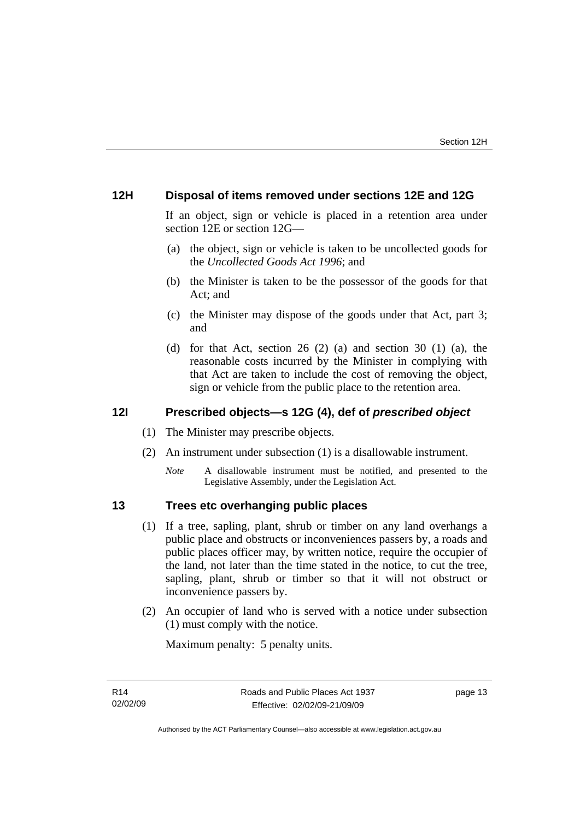# <span id="page-18-0"></span>**12H Disposal of items removed under sections 12E and 12G**

If an object, sign or vehicle is placed in a retention area under section 12E or section 12G—

- (a) the object, sign or vehicle is taken to be uncollected goods for the *Uncollected Goods Act 1996*; and
- (b) the Minister is taken to be the possessor of the goods for that Act; and
- (c) the Minister may dispose of the goods under that Act, part 3; and
- (d) for that Act, section 26 (2) (a) and section 30 (1) (a), the reasonable costs incurred by the Minister in complying with that Act are taken to include the cost of removing the object, sign or vehicle from the public place to the retention area.

# **12I Prescribed objects—s 12G (4), def of** *prescribed object*

- (1) The Minister may prescribe objects.
- (2) An instrument under subsection (1) is a disallowable instrument.
	- *Note* A disallowable instrument must be notified, and presented to the Legislative Assembly, under the Legislation Act.

# **13 Trees etc overhanging public places**

- (1) If a tree, sapling, plant, shrub or timber on any land overhangs a public place and obstructs or inconveniences passers by, a roads and public places officer may, by written notice, require the occupier of the land, not later than the time stated in the notice, to cut the tree, sapling, plant, shrub or timber so that it will not obstruct or inconvenience passers by.
- (2) An occupier of land who is served with a notice under subsection (1) must comply with the notice.

Maximum penalty: 5 penalty units.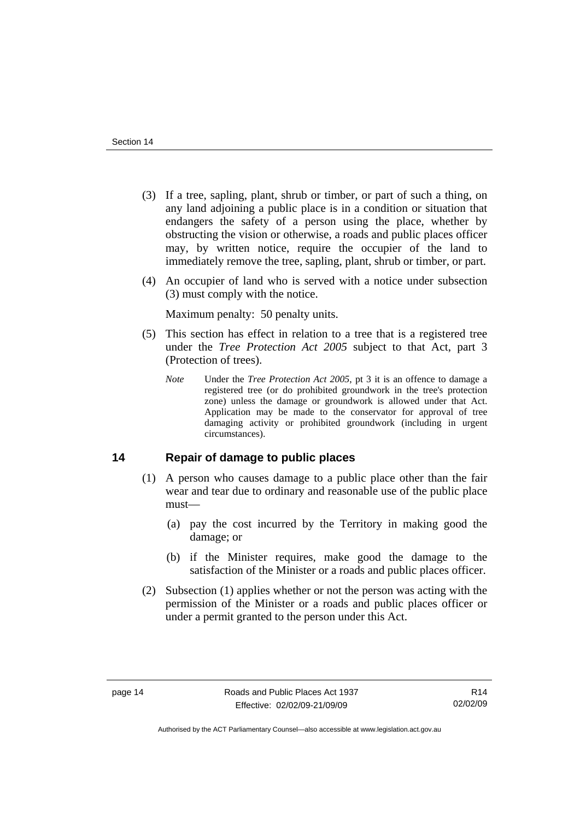- <span id="page-19-0"></span> (3) If a tree, sapling, plant, shrub or timber, or part of such a thing, on any land adjoining a public place is in a condition or situation that endangers the safety of a person using the place, whether by obstructing the vision or otherwise, a roads and public places officer may, by written notice, require the occupier of the land to immediately remove the tree, sapling, plant, shrub or timber, or part.
- (4) An occupier of land who is served with a notice under subsection (3) must comply with the notice.

Maximum penalty: 50 penalty units.

- (5) This section has effect in relation to a tree that is a registered tree under the *Tree Protection Act 2005* subject to that Act, part 3 (Protection of trees).
	- *Note* Under the *Tree Protection Act 2005*, pt 3 it is an offence to damage a registered tree (or do prohibited groundwork in the tree's protection zone) unless the damage or groundwork is allowed under that Act. Application may be made to the conservator for approval of tree damaging activity or prohibited groundwork (including in urgent circumstances).

# **14 Repair of damage to public places**

- (1) A person who causes damage to a public place other than the fair wear and tear due to ordinary and reasonable use of the public place must—
	- (a) pay the cost incurred by the Territory in making good the damage; or
	- (b) if the Minister requires, make good the damage to the satisfaction of the Minister or a roads and public places officer.
- (2) Subsection (1) applies whether or not the person was acting with the permission of the Minister or a roads and public places officer or under a permit granted to the person under this Act.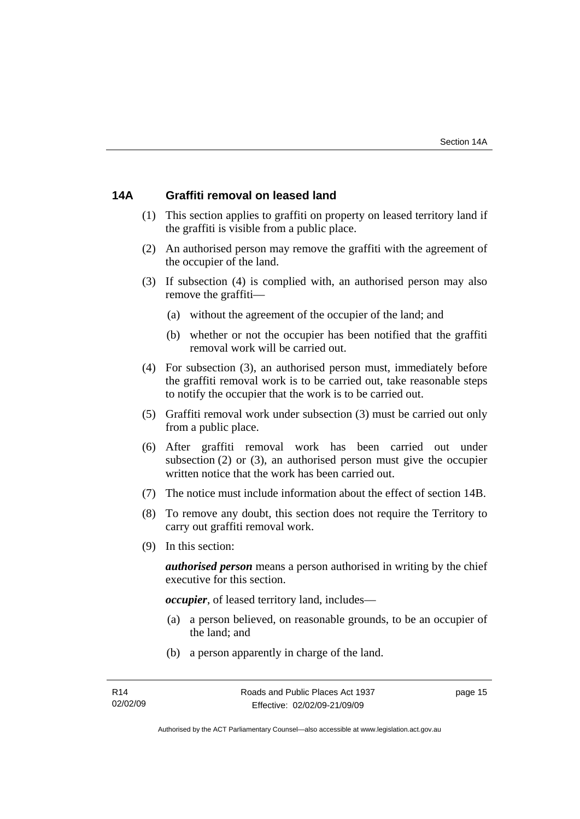# <span id="page-20-0"></span>**14A Graffiti removal on leased land**

- (1) This section applies to graffiti on property on leased territory land if the graffiti is visible from a public place.
- (2) An authorised person may remove the graffiti with the agreement of the occupier of the land.
- (3) If subsection (4) is complied with, an authorised person may also remove the graffiti—
	- (a) without the agreement of the occupier of the land; and
	- (b) whether or not the occupier has been notified that the graffiti removal work will be carried out.
- (4) For subsection (3), an authorised person must, immediately before the graffiti removal work is to be carried out, take reasonable steps to notify the occupier that the work is to be carried out.
- (5) Graffiti removal work under subsection (3) must be carried out only from a public place.
- (6) After graffiti removal work has been carried out under subsection (2) or (3), an authorised person must give the occupier written notice that the work has been carried out.
- (7) The notice must include information about the effect of section 14B.
- (8) To remove any doubt, this section does not require the Territory to carry out graffiti removal work.
- (9) In this section:

*authorised person* means a person authorised in writing by the chief executive for this section.

*occupier*, of leased territory land, includes—

- (a) a person believed, on reasonable grounds, to be an occupier of the land; and
- (b) a person apparently in charge of the land.

page 15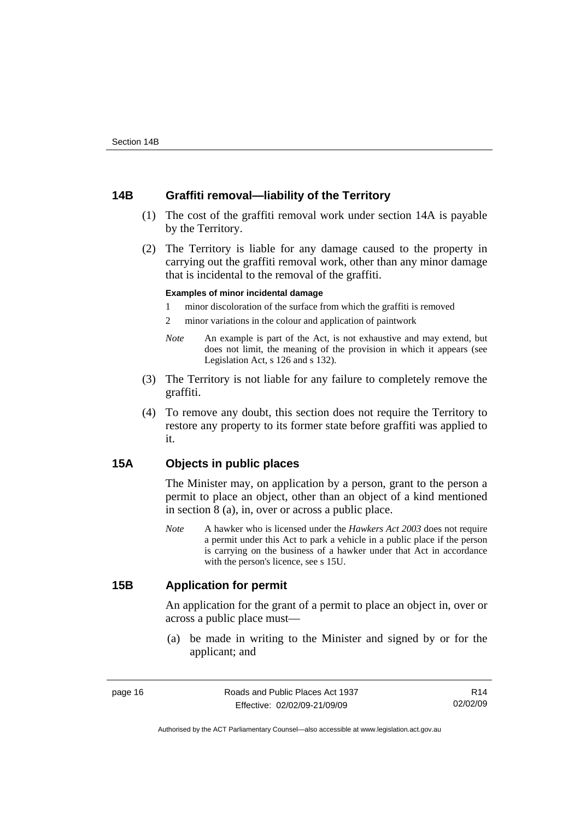# <span id="page-21-0"></span>**14B Graffiti removal—liability of the Territory**

- (1) The cost of the graffiti removal work under section 14A is payable by the Territory.
- (2) The Territory is liable for any damage caused to the property in carrying out the graffiti removal work, other than any minor damage that is incidental to the removal of the graffiti.

### **Examples of minor incidental damage**

- 1 minor discoloration of the surface from which the graffiti is removed
- 2 minor variations in the colour and application of paintwork
- *Note* An example is part of the Act, is not exhaustive and may extend, but does not limit, the meaning of the provision in which it appears (see Legislation Act, s 126 and s 132).
- (3) The Territory is not liable for any failure to completely remove the graffiti.
- (4) To remove any doubt, this section does not require the Territory to restore any property to its former state before graffiti was applied to it.

# **15A Objects in public places**

The Minister may, on application by a person, grant to the person a permit to place an object, other than an object of a kind mentioned in section 8 (a), in, over or across a public place.

*Note* A hawker who is licensed under the *Hawkers Act 2003* does not require a permit under this Act to park a vehicle in a public place if the person is carrying on the business of a hawker under that Act in accordance with the person's licence, see s 15U.

# **15B Application for permit**

An application for the grant of a permit to place an object in, over or across a public place must—

 (a) be made in writing to the Minister and signed by or for the applicant; and

R14 02/02/09

Authorised by the ACT Parliamentary Counsel—also accessible at www.legislation.act.gov.au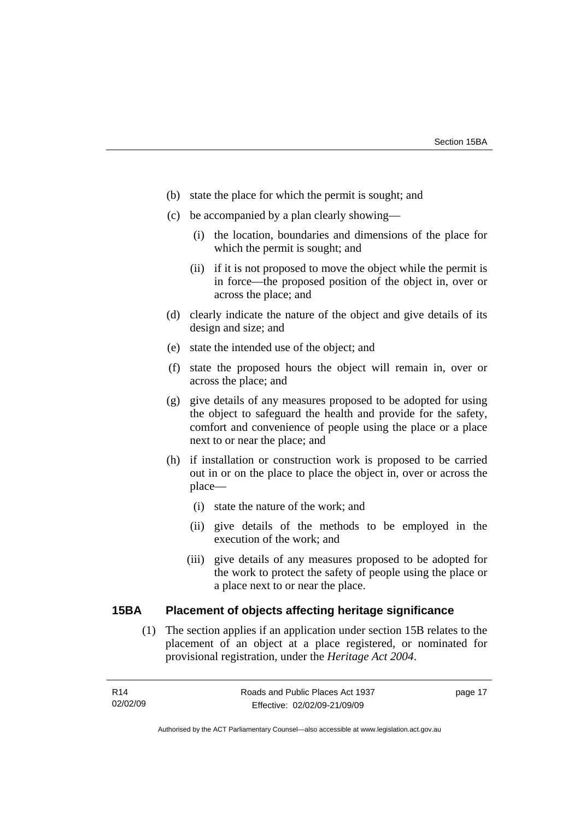- <span id="page-22-0"></span>(b) state the place for which the permit is sought; and
- (c) be accompanied by a plan clearly showing—
	- (i) the location, boundaries and dimensions of the place for which the permit is sought; and
	- (ii) if it is not proposed to move the object while the permit is in force—the proposed position of the object in, over or across the place; and
- (d) clearly indicate the nature of the object and give details of its design and size; and
- (e) state the intended use of the object; and
- (f) state the proposed hours the object will remain in, over or across the place; and
- (g) give details of any measures proposed to be adopted for using the object to safeguard the health and provide for the safety, comfort and convenience of people using the place or a place next to or near the place; and
- (h) if installation or construction work is proposed to be carried out in or on the place to place the object in, over or across the place—
	- (i) state the nature of the work; and
	- (ii) give details of the methods to be employed in the execution of the work; and
	- (iii) give details of any measures proposed to be adopted for the work to protect the safety of people using the place or a place next to or near the place.

### **15BA Placement of objects affecting heritage significance**

 (1) The section applies if an application under section 15B relates to the placement of an object at a place registered, or nominated for provisional registration, under the *Heritage Act 2004*.

page 17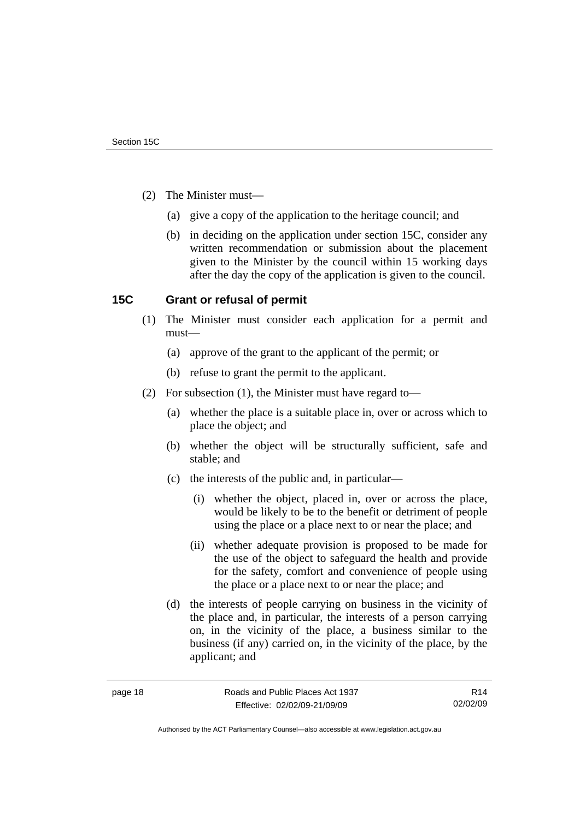- <span id="page-23-0"></span> (2) The Minister must—
	- (a) give a copy of the application to the heritage council; and
	- (b) in deciding on the application under section 15C, consider any written recommendation or submission about the placement given to the Minister by the council within 15 working days after the day the copy of the application is given to the council.

# **15C Grant or refusal of permit**

- (1) The Minister must consider each application for a permit and must—
	- (a) approve of the grant to the applicant of the permit; or
	- (b) refuse to grant the permit to the applicant.
- (2) For subsection (1), the Minister must have regard to—
	- (a) whether the place is a suitable place in, over or across which to place the object; and
	- (b) whether the object will be structurally sufficient, safe and stable; and
	- (c) the interests of the public and, in particular—
		- (i) whether the object, placed in, over or across the place, would be likely to be to the benefit or detriment of people using the place or a place next to or near the place; and
		- (ii) whether adequate provision is proposed to be made for the use of the object to safeguard the health and provide for the safety, comfort and convenience of people using the place or a place next to or near the place; and
	- (d) the interests of people carrying on business in the vicinity of the place and, in particular, the interests of a person carrying on, in the vicinity of the place, a business similar to the business (if any) carried on, in the vicinity of the place, by the applicant; and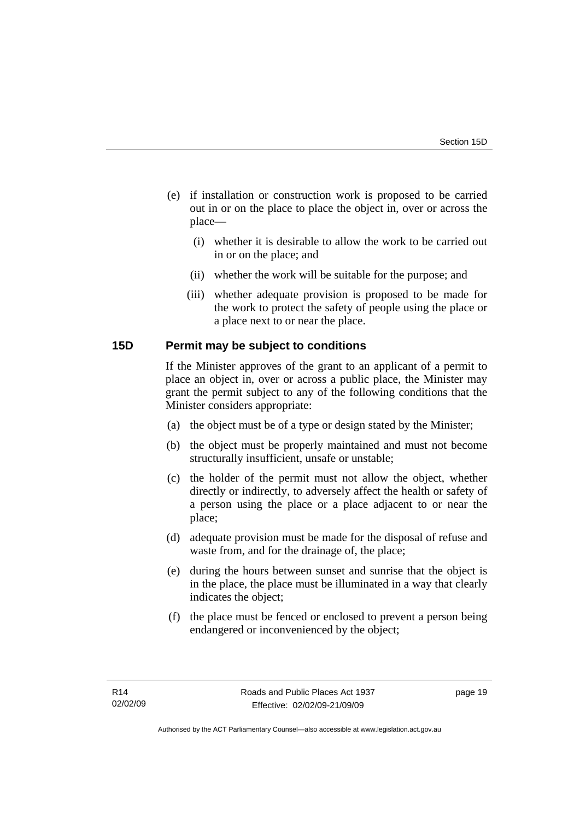- <span id="page-24-0"></span> (e) if installation or construction work is proposed to be carried out in or on the place to place the object in, over or across the place—
	- (i) whether it is desirable to allow the work to be carried out in or on the place; and
	- (ii) whether the work will be suitable for the purpose; and
	- (iii) whether adequate provision is proposed to be made for the work to protect the safety of people using the place or a place next to or near the place.

# **15D Permit may be subject to conditions**

If the Minister approves of the grant to an applicant of a permit to place an object in, over or across a public place, the Minister may grant the permit subject to any of the following conditions that the Minister considers appropriate:

- (a) the object must be of a type or design stated by the Minister;
- (b) the object must be properly maintained and must not become structurally insufficient, unsafe or unstable;
- (c) the holder of the permit must not allow the object, whether directly or indirectly, to adversely affect the health or safety of a person using the place or a place adjacent to or near the place;
- (d) adequate provision must be made for the disposal of refuse and waste from, and for the drainage of, the place:
- (e) during the hours between sunset and sunrise that the object is in the place, the place must be illuminated in a way that clearly indicates the object;
- (f) the place must be fenced or enclosed to prevent a person being endangered or inconvenienced by the object;

page 19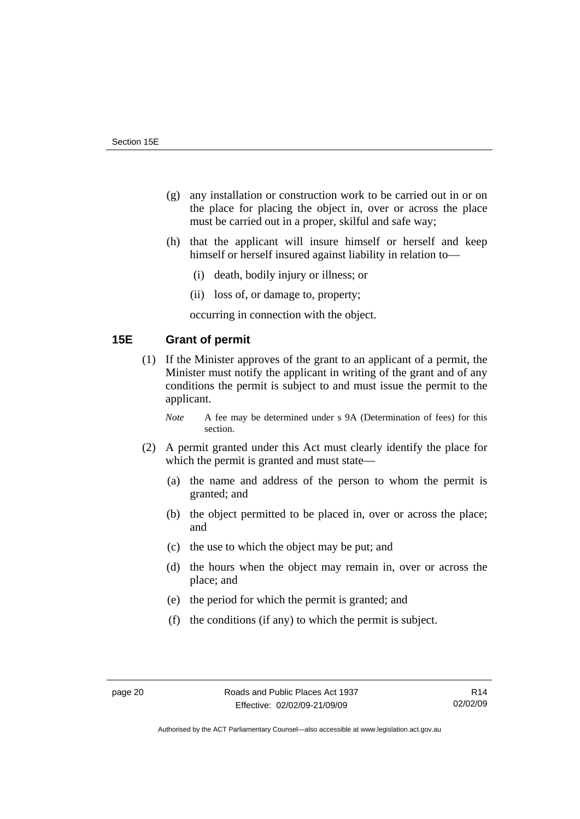- <span id="page-25-0"></span> (g) any installation or construction work to be carried out in or on the place for placing the object in, over or across the place must be carried out in a proper, skilful and safe way;
- (h) that the applicant will insure himself or herself and keep himself or herself insured against liability in relation to—
	- (i) death, bodily injury or illness; or
	- (ii) loss of, or damage to, property;

occurring in connection with the object.

# **15E Grant of permit**

- (1) If the Minister approves of the grant to an applicant of a permit, the Minister must notify the applicant in writing of the grant and of any conditions the permit is subject to and must issue the permit to the applicant.
	- *Note* A fee may be determined under s 9A (Determination of fees) for this section.
- (2) A permit granted under this Act must clearly identify the place for which the permit is granted and must state—
	- (a) the name and address of the person to whom the permit is granted; and
	- (b) the object permitted to be placed in, over or across the place; and
	- (c) the use to which the object may be put; and
	- (d) the hours when the object may remain in, over or across the place; and
	- (e) the period for which the permit is granted; and
	- (f) the conditions (if any) to which the permit is subject.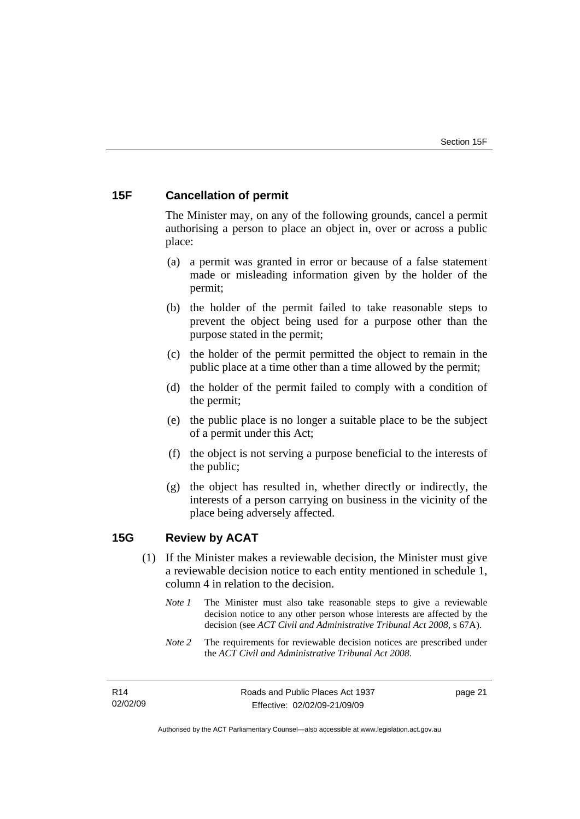# <span id="page-26-0"></span>**15F Cancellation of permit**

The Minister may, on any of the following grounds, cancel a permit authorising a person to place an object in, over or across a public place:

- (a) a permit was granted in error or because of a false statement made or misleading information given by the holder of the permit;
- (b) the holder of the permit failed to take reasonable steps to prevent the object being used for a purpose other than the purpose stated in the permit;
- (c) the holder of the permit permitted the object to remain in the public place at a time other than a time allowed by the permit;
- (d) the holder of the permit failed to comply with a condition of the permit;
- (e) the public place is no longer a suitable place to be the subject of a permit under this Act;
- (f) the object is not serving a purpose beneficial to the interests of the public;
- (g) the object has resulted in, whether directly or indirectly, the interests of a person carrying on business in the vicinity of the place being adversely affected.

# **15G Review by ACAT**

- (1) If the Minister makes a reviewable decision, the Minister must give a reviewable decision notice to each entity mentioned in schedule 1, column 4 in relation to the decision.
	- *Note 1* The Minister must also take reasonable steps to give a reviewable decision notice to any other person whose interests are affected by the decision (see *ACT Civil and Administrative Tribunal Act 2008*, s 67A).
	- *Note* 2 The requirements for reviewable decision notices are prescribed under the *ACT Civil and Administrative Tribunal Act 2008*.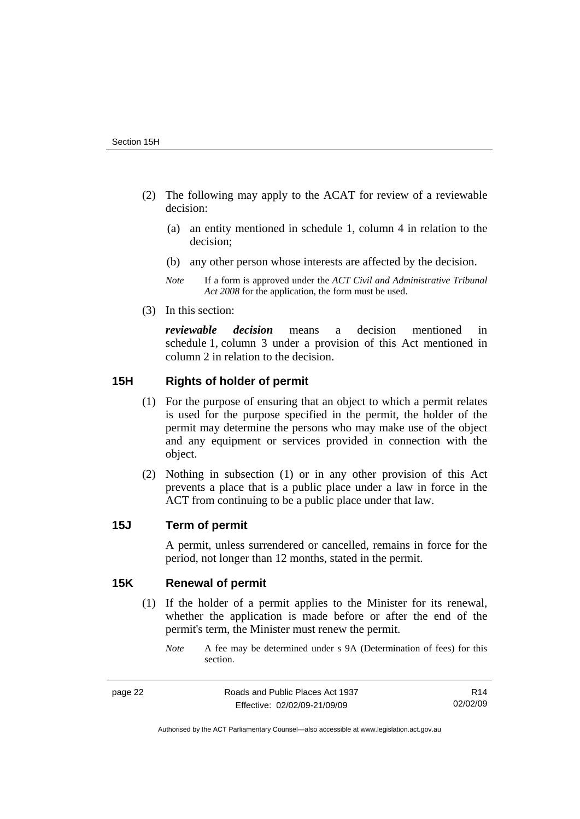- <span id="page-27-0"></span> (2) The following may apply to the ACAT for review of a reviewable decision:
	- (a) an entity mentioned in schedule 1, column 4 in relation to the decision;
	- (b) any other person whose interests are affected by the decision.
	- *Note* If a form is approved under the *ACT Civil and Administrative Tribunal Act 2008* for the application, the form must be used.
- (3) In this section:

*reviewable decision* means a decision mentioned in schedule 1, column 3 under a provision of this Act mentioned in column 2 in relation to the decision.

# **15H Rights of holder of permit**

- (1) For the purpose of ensuring that an object to which a permit relates is used for the purpose specified in the permit, the holder of the permit may determine the persons who may make use of the object and any equipment or services provided in connection with the object.
- (2) Nothing in subsection (1) or in any other provision of this Act prevents a place that is a public place under a law in force in the ACT from continuing to be a public place under that law.

## **15J Term of permit**

A permit, unless surrendered or cancelled, remains in force for the period, not longer than 12 months, stated in the permit.

# **15K Renewal of permit**

- (1) If the holder of a permit applies to the Minister for its renewal, whether the application is made before or after the end of the permit's term, the Minister must renew the permit.
	- *Note* A fee may be determined under s 9A (Determination of fees) for this section.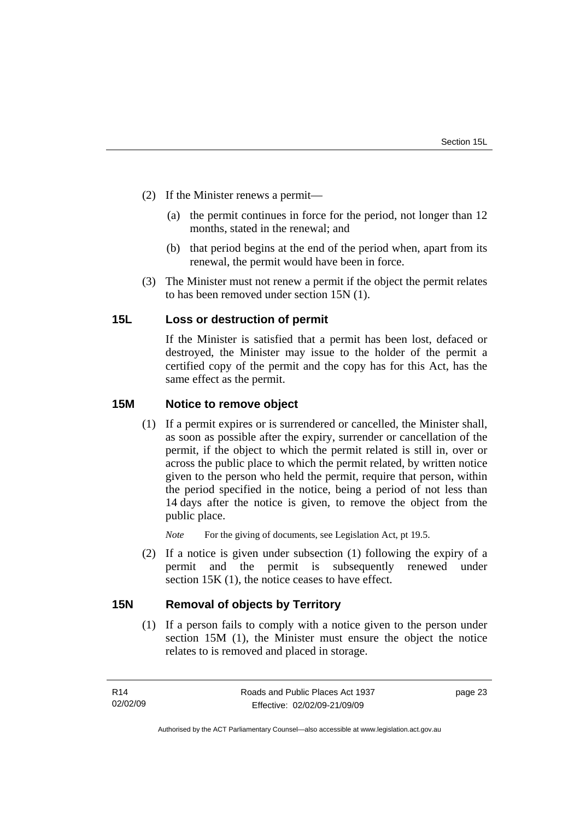- <span id="page-28-0"></span> (2) If the Minister renews a permit—
	- (a) the permit continues in force for the period, not longer than 12 months, stated in the renewal; and
	- (b) that period begins at the end of the period when, apart from its renewal, the permit would have been in force.
- (3) The Minister must not renew a permit if the object the permit relates to has been removed under section 15N (1).

# **15L Loss or destruction of permit**

If the Minister is satisfied that a permit has been lost, defaced or destroyed, the Minister may issue to the holder of the permit a certified copy of the permit and the copy has for this Act, has the same effect as the permit.

# **15M Notice to remove object**

 (1) If a permit expires or is surrendered or cancelled, the Minister shall, as soon as possible after the expiry, surrender or cancellation of the permit, if the object to which the permit related is still in, over or across the public place to which the permit related, by written notice given to the person who held the permit, require that person, within the period specified in the notice, being a period of not less than 14 days after the notice is given, to remove the object from the public place.

*Note* For the giving of documents, see Legislation Act, pt 19.5.

 (2) If a notice is given under subsection (1) following the expiry of a permit and the permit is subsequently renewed under section 15K (1), the notice ceases to have effect.

# **15N Removal of objects by Territory**

 (1) If a person fails to comply with a notice given to the person under section 15M (1), the Minister must ensure the object the notice relates to is removed and placed in storage.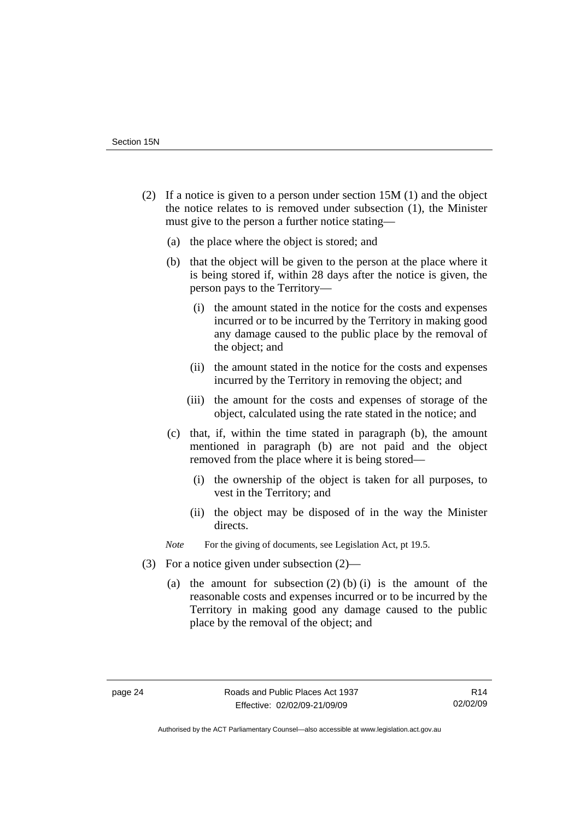- (2) If a notice is given to a person under section 15M (1) and the object the notice relates to is removed under subsection (1), the Minister must give to the person a further notice stating—
	- (a) the place where the object is stored; and
	- (b) that the object will be given to the person at the place where it is being stored if, within 28 days after the notice is given, the person pays to the Territory—
		- (i) the amount stated in the notice for the costs and expenses incurred or to be incurred by the Territory in making good any damage caused to the public place by the removal of the object; and
		- (ii) the amount stated in the notice for the costs and expenses incurred by the Territory in removing the object; and
		- (iii) the amount for the costs and expenses of storage of the object, calculated using the rate stated in the notice; and
	- (c) that, if, within the time stated in paragraph (b), the amount mentioned in paragraph (b) are not paid and the object removed from the place where it is being stored—
		- (i) the ownership of the object is taken for all purposes, to vest in the Territory; and
		- (ii) the object may be disposed of in the way the Minister directs.

*Note* For the giving of documents, see Legislation Act, pt 19.5.

- (3) For a notice given under subsection (2)—
	- (a) the amount for subsection  $(2)$  (b) (i) is the amount of the reasonable costs and expenses incurred or to be incurred by the Territory in making good any damage caused to the public place by the removal of the object; and

Authorised by the ACT Parliamentary Counsel—also accessible at www.legislation.act.gov.au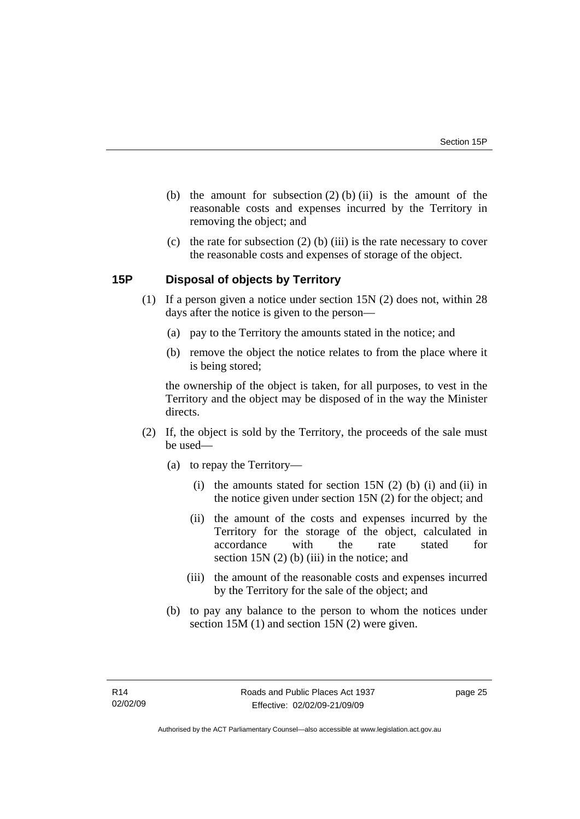- <span id="page-30-0"></span>(b) the amount for subsection  $(2)$  (b) (ii) is the amount of the reasonable costs and expenses incurred by the Territory in removing the object; and
- (c) the rate for subsection  $(2)$  (b) (iii) is the rate necessary to cover the reasonable costs and expenses of storage of the object.

# **15P Disposal of objects by Territory**

- (1) If a person given a notice under section 15N (2) does not, within 28 days after the notice is given to the person—
	- (a) pay to the Territory the amounts stated in the notice; and
	- (b) remove the object the notice relates to from the place where it is being stored;

the ownership of the object is taken, for all purposes, to vest in the Territory and the object may be disposed of in the way the Minister directs.

- (2) If, the object is sold by the Territory, the proceeds of the sale must be used—
	- (a) to repay the Territory—
		- (i) the amounts stated for section 15N  $(2)$  (b) (i) and (ii) in the notice given under section 15N (2) for the object; and
		- (ii) the amount of the costs and expenses incurred by the Territory for the storage of the object, calculated in accordance with the rate stated for section 15N (2) (b) (iii) in the notice; and
		- (iii) the amount of the reasonable costs and expenses incurred by the Territory for the sale of the object; and
	- (b) to pay any balance to the person to whom the notices under section 15M (1) and section 15N (2) were given.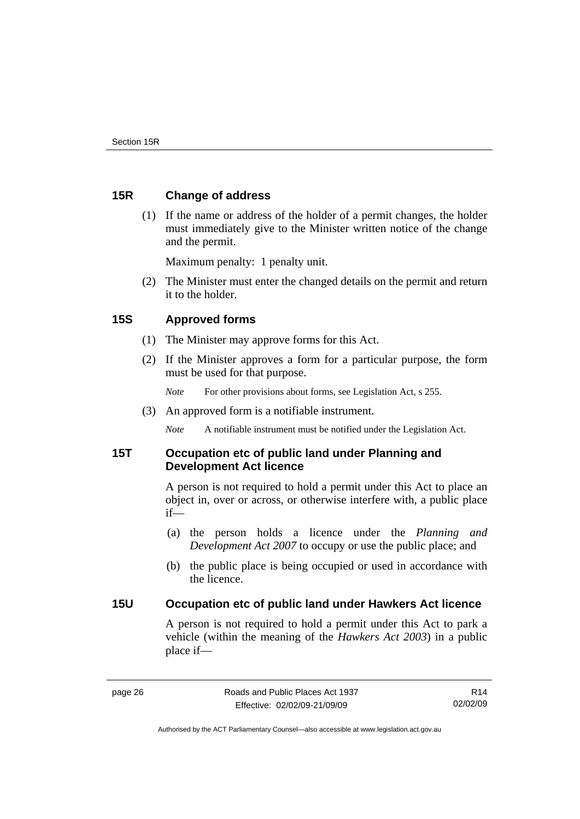# <span id="page-31-0"></span>**15R Change of address**

 (1) If the name or address of the holder of a permit changes, the holder must immediately give to the Minister written notice of the change and the permit.

Maximum penalty: 1 penalty unit.

 (2) The Minister must enter the changed details on the permit and return it to the holder.

# **15S Approved forms**

- (1) The Minister may approve forms for this Act.
- (2) If the Minister approves a form for a particular purpose, the form must be used for that purpose.
	- *Note* For other provisions about forms, see Legislation Act, s 255.
- (3) An approved form is a notifiable instrument.

*Note* A notifiable instrument must be notified under the Legislation Act.

# **15T Occupation etc of public land under Planning and Development Act licence**

A person is not required to hold a permit under this Act to place an object in, over or across, or otherwise interfere with, a public place if—

- (a) the person holds a licence under the *Planning and Development Act 2007* to occupy or use the public place; and
- (b) the public place is being occupied or used in accordance with the licence.

# **15U Occupation etc of public land under Hawkers Act licence**

A person is not required to hold a permit under this Act to park a vehicle (within the meaning of the *Hawkers Act 2003*) in a public place if—

R14 02/02/09

Authorised by the ACT Parliamentary Counsel—also accessible at www.legislation.act.gov.au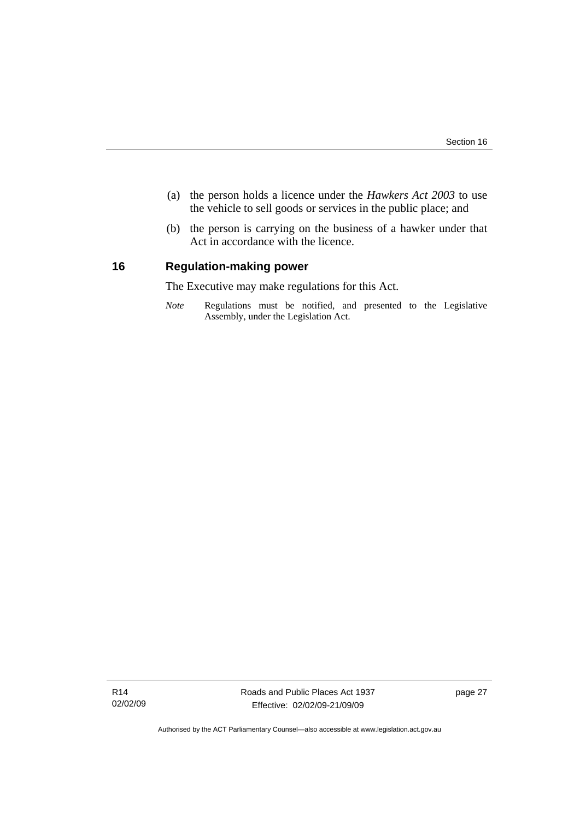- <span id="page-32-0"></span> (a) the person holds a licence under the *Hawkers Act 2003* to use the vehicle to sell goods or services in the public place; and
- (b) the person is carrying on the business of a hawker under that Act in accordance with the licence.

# **16 Regulation-making power**

The Executive may make regulations for this Act.

*Note* Regulations must be notified, and presented to the Legislative Assembly, under the Legislation Act.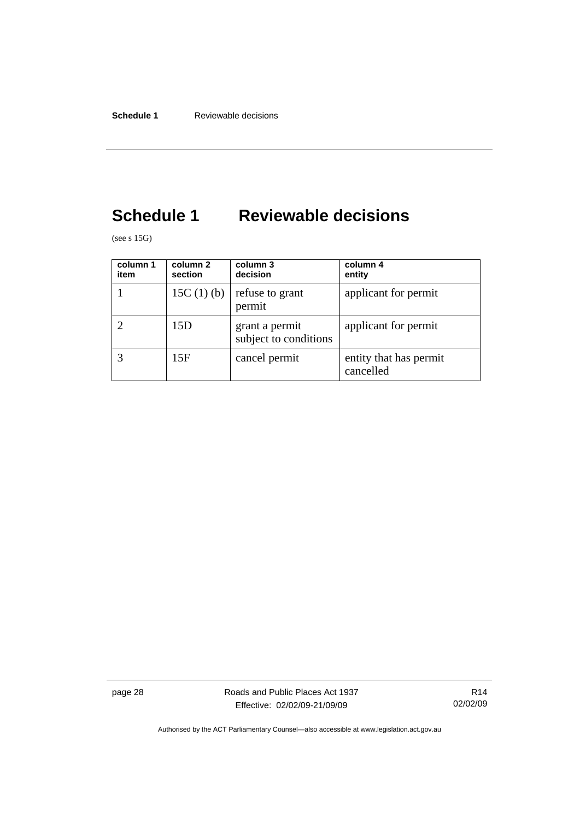# <span id="page-33-0"></span>**Schedule 1 Reviewable decisions**

(see s 15G)

| column 1<br>item | column 2<br>section | column 3<br>decision                    | column 4<br>entity                  |
|------------------|---------------------|-----------------------------------------|-------------------------------------|
|                  | 15C $(1)$ $(b)$     | refuse to grant<br>permit               | applicant for permit                |
|                  | 15D                 | grant a permit<br>subject to conditions | applicant for permit                |
|                  | 15F                 | cancel permit                           | entity that has permit<br>cancelled |

page 28 **Roads** and Public Places Act 1937 Effective: 02/02/09-21/09/09

R14 02/02/09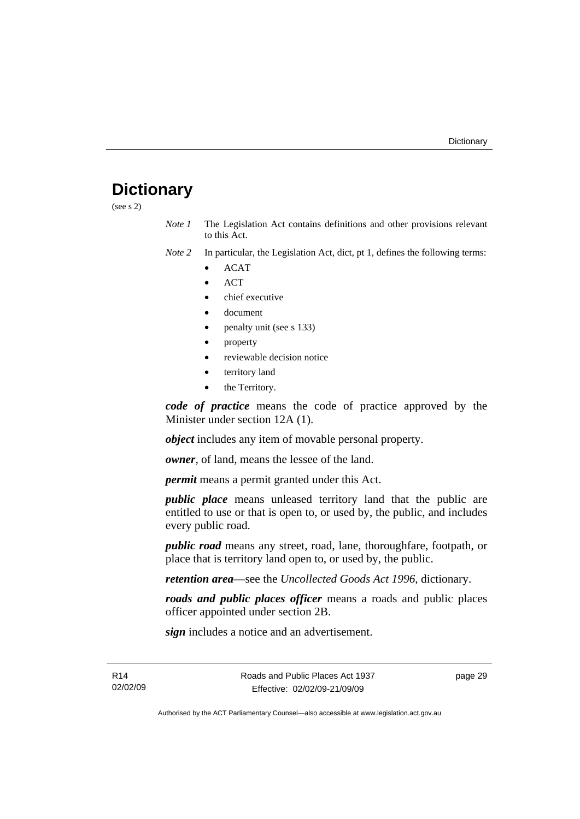# <span id="page-34-0"></span>**Dictionary**

(see s 2)

*Note 1* The Legislation Act contains definitions and other provisions relevant to this Act.

*Note 2* In particular, the Legislation Act, dict, pt 1, defines the following terms:

- ACAT
- ACT
- chief executive
- document
- penalty unit (see s 133)
- property
- reviewable decision notice
- territory land
- the Territory.

*code of practice* means the code of practice approved by the Minister under section 12A (1).

*object* includes any item of movable personal property.

*owner*, of land, means the lessee of the land.

*permit* means a permit granted under this Act.

*public place* means unleased territory land that the public are entitled to use or that is open to, or used by, the public, and includes every public road.

*public road* means any street, road, lane, thoroughfare, footpath, or place that is territory land open to, or used by, the public.

*retention area*—see the *Uncollected Goods Act 1996*, dictionary.

*roads and public places officer* means a roads and public places officer appointed under section 2B.

*sign* includes a notice and an advertisement.

R14 02/02/09 page 29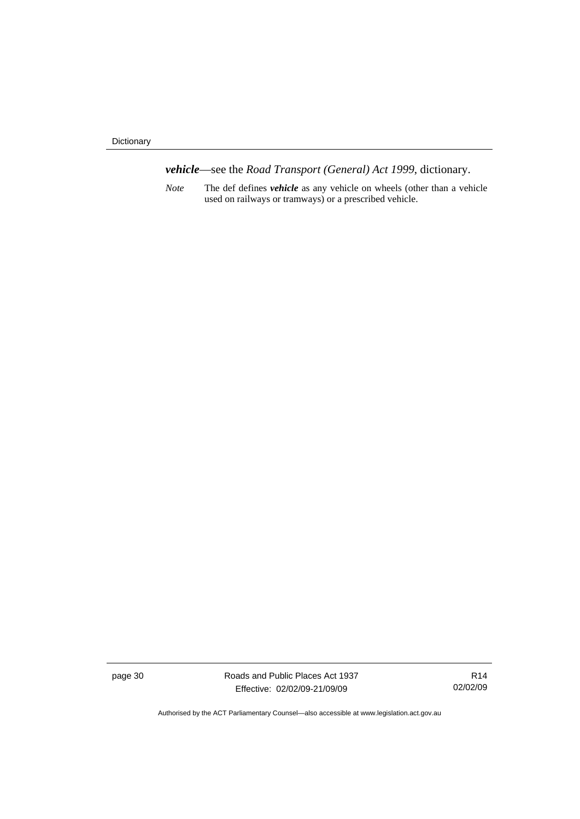Dictionary

*vehicle*—see the *Road Transport (General) Act 1999*, dictionary.

*Note* The def defines *vehicle* as any vehicle on wheels (other than a vehicle used on railways or tramways) or a prescribed vehicle.

page 30 Roads and Public Places Act 1937 Effective: 02/02/09-21/09/09

R14 02/02/09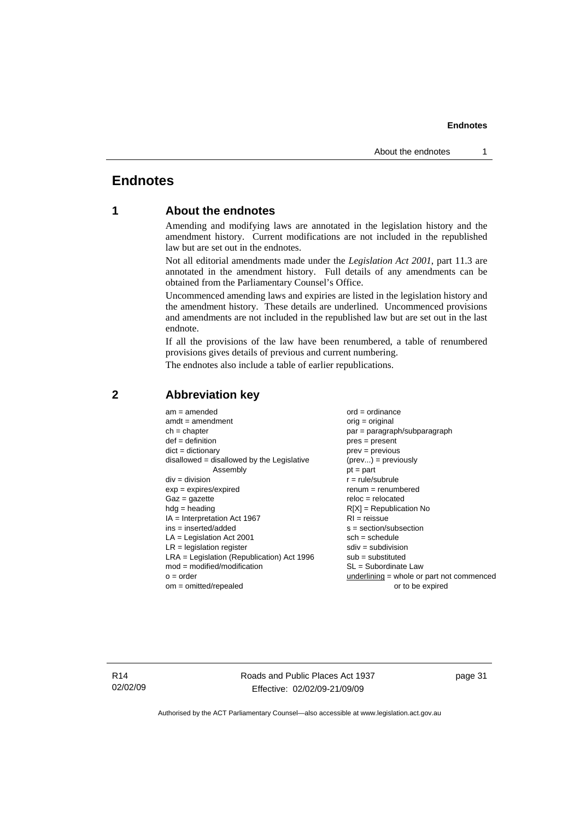# <span id="page-36-0"></span>**Endnotes**

# **1 About the endnotes**

Amending and modifying laws are annotated in the legislation history and the amendment history. Current modifications are not included in the republished law but are set out in the endnotes.

Not all editorial amendments made under the *Legislation Act 2001*, part 11.3 are annotated in the amendment history. Full details of any amendments can be obtained from the Parliamentary Counsel's Office.

Uncommenced amending laws and expiries are listed in the legislation history and the amendment history. These details are underlined. Uncommenced provisions and amendments are not included in the republished law but are set out in the last endnote.

If all the provisions of the law have been renumbered, a table of renumbered provisions gives details of previous and current numbering.

The endnotes also include a table of earlier republications.

| $amdt = amendment$                           | $orig = original$                           |
|----------------------------------------------|---------------------------------------------|
| $ch = chapter$                               | par = paragraph/subparagraph                |
| $def = definition$                           | $pres = present$                            |
| $dict = dictionary$                          | $prev = previous$                           |
| disallowed = disallowed by the Legislative   | $(\text{prev}) = \text{previously}$         |
| Assembly                                     | $pt = part$                                 |
| $div = division$                             | $r = rule/subrule$                          |
| $exp = expires/expired$                      | $remum = renumbered$                        |
| $Gaz = qazette$                              | $reloc = relocated$                         |
| $hdg =$ heading                              | $R[X]$ = Republication No                   |
| $IA = Interpretation Act 1967$               | $RI = reissue$                              |
| $ins = inserted/added$                       | $s = section/subsection$                    |
| $LA =$ Legislation Act 2001                  | $sch = schedule$                            |
| $LR =$ legislation register                  | $sdiv = subdivision$                        |
| $LRA =$ Legislation (Republication) Act 1996 | $sub =$ substituted                         |
| $mod = modified/modification$                | $SL = Subordinate$ Law                      |
| $o = order$                                  | $underlining = whole or part not commenced$ |
| $om = omitted/repealed$                      | or to be expired                            |

# **2 Abbreviation key**

R14 02/02/09 Roads and Public Places Act 1937 Effective: 02/02/09-21/09/09

page 31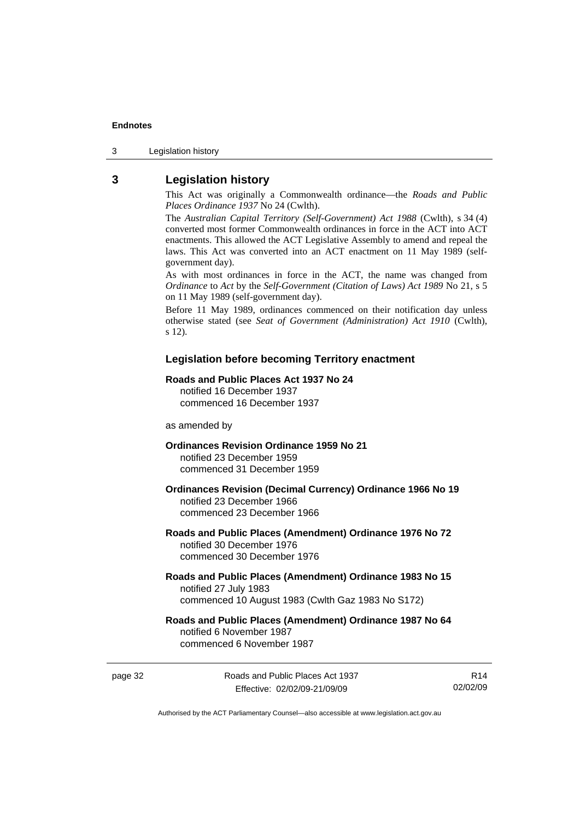<span id="page-37-0"></span>3 Legislation history

# **3 Legislation history**

This Act was originally a Commonwealth ordinance—the *Roads and Public Places Ordinance 1937* No 24 (Cwlth).

The *Australian Capital Territory (Self-Government) Act 1988* (Cwlth), s 34 (4) converted most former Commonwealth ordinances in force in the ACT into ACT enactments. This allowed the ACT Legislative Assembly to amend and repeal the laws. This Act was converted into an ACT enactment on 11 May 1989 (selfgovernment day).

As with most ordinances in force in the ACT, the name was changed from *Ordinance* to *Act* by the *Self-Government (Citation of Laws) Act 1989* No 21, s 5 on 11 May 1989 (self-government day).

Before 11 May 1989, ordinances commenced on their notification day unless otherwise stated (see *Seat of Government (Administration) Act 1910* (Cwlth), s 12).

### **Legislation before becoming Territory enactment**

### **Roads and Public Places Act 1937 No 24**

notified 16 December 1937 commenced 16 December 1937

as amended by

### **Ordinances Revision Ordinance 1959 No 21**  notified 23 December 1959

commenced 31 December 1959

### **Ordinances Revision (Decimal Currency) Ordinance 1966 No 19**  notified 23 December 1966 commenced 23 December 1966

### **Roads and Public Places (Amendment) Ordinance 1976 No 72**  notified 30 December 1976 commenced 30 December 1976

### **Roads and Public Places (Amendment) Ordinance 1983 No 15**  notified 27 July 1983 commenced 10 August 1983 (Cwlth Gaz 1983 No S172)

### **Roads and Public Places (Amendment) Ordinance 1987 No 64**  notified 6 November 1987 commenced 6 November 1987

page 32 Roads and Public Places Act 1937 Effective: 02/02/09-21/09/09

R14 02/02/09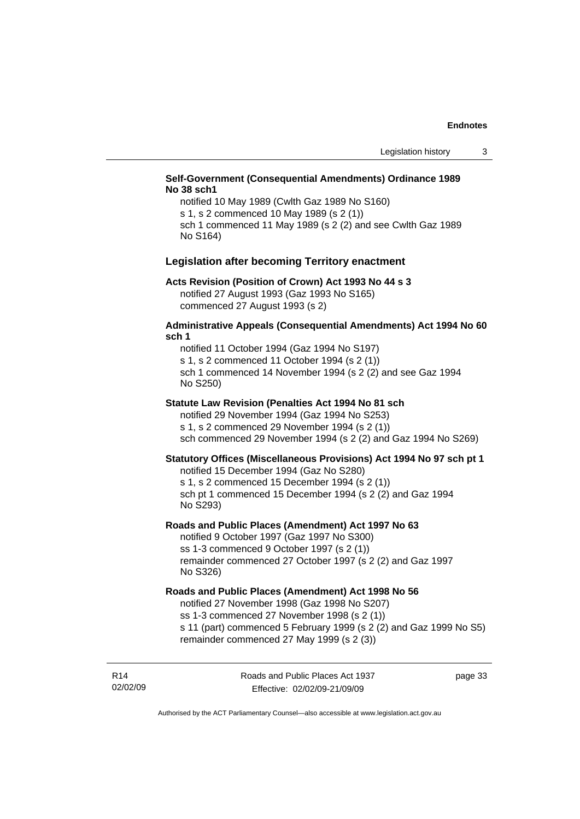### **Self-Government (Consequential Amendments) Ordinance 1989 No 38 sch1**

notified 10 May 1989 (Cwlth Gaz 1989 No S160) s 1, s 2 commenced 10 May 1989 (s 2 (1)) sch 1 commenced 11 May 1989 (s 2 (2) and see Cwlth Gaz 1989 No S164)

### **Legislation after becoming Territory enactment**

### **Acts Revision (Position of Crown) Act 1993 No 44 s 3**

notified 27 August 1993 (Gaz 1993 No S165) commenced 27 August 1993 (s 2)

### **Administrative Appeals (Consequential Amendments) Act 1994 No 60 sch 1**

notified 11 October 1994 (Gaz 1994 No S197) s 1, s 2 commenced 11 October 1994 (s 2 (1)) sch 1 commenced 14 November 1994 (s 2 (2) and see Gaz 1994 No S250)

### **Statute Law Revision (Penalties Act 1994 No 81 sch**

notified 29 November 1994 (Gaz 1994 No S253) s 1, s 2 commenced 29 November 1994 (s 2 (1)) sch commenced 29 November 1994 (s 2 (2) and Gaz 1994 No S269)

### **Statutory Offices (Miscellaneous Provisions) Act 1994 No 97 sch pt 1**

notified 15 December 1994 (Gaz No S280) s 1, s 2 commenced 15 December 1994 (s 2 (1)) sch pt 1 commenced 15 December 1994 (s 2 (2) and Gaz 1994 No S293)

### **Roads and Public Places (Amendment) Act 1997 No 63**

notified 9 October 1997 (Gaz 1997 No S300) ss 1-3 commenced 9 October 1997 (s 2 (1)) remainder commenced 27 October 1997 (s 2 (2) and Gaz 1997 No S326)

### **Roads and Public Places (Amendment) Act 1998 No 56**

notified 27 November 1998 (Gaz 1998 No S207) ss 1-3 commenced 27 November 1998 (s 2 (1))

s 11 (part) commenced 5 February 1999 (s 2 (2) and Gaz 1999 No S5) remainder commenced 27 May 1999 (s 2 (3))

R14 02/02/09 page 33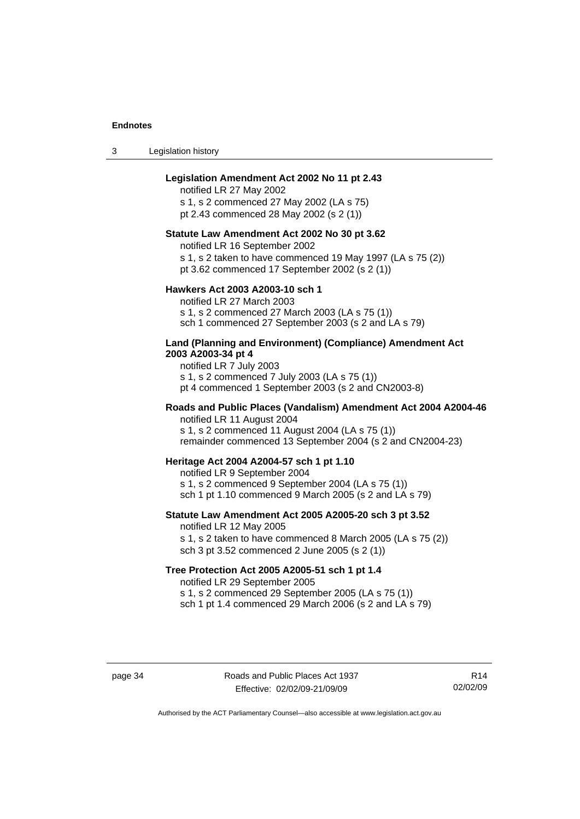3 Legislation history

### **Legislation Amendment Act 2002 No 11 pt 2.43**

notified LR 27 May 2002 s 1, s 2 commenced 27 May 2002 (LA s 75)

pt 2.43 commenced 28 May 2002 (s 2 (1))

### **Statute Law Amendment Act 2002 No 30 pt 3.62**

notified LR 16 September 2002

s 1, s 2 taken to have commenced 19 May 1997 (LA s 75 (2))

pt 3.62 commenced 17 September 2002 (s 2 (1))

### **Hawkers Act 2003 A2003-10 sch 1**

notified LR 27 March 2003 s 1, s 2 commenced 27 March 2003 (LA s 75 (1)) sch 1 commenced 27 September 2003 (s 2 and LA s 79)

### **Land (Planning and Environment) (Compliance) Amendment Act 2003 A2003-34 pt 4**

notified LR 7 July 2003 s 1, s 2 commenced 7 July 2003 (LA s 75 (1)) pt 4 commenced 1 September 2003 (s 2 and CN2003-8)

### **Roads and Public Places (Vandalism) Amendment Act 2004 A2004-46**  notified LR 11 August 2004

s 1, s 2 commenced 11 August 2004 (LA s 75 (1)) remainder commenced 13 September 2004 (s 2 and CN2004-23)

### **Heritage Act 2004 A2004-57 sch 1 pt 1.10**

notified LR 9 September 2004 s 1, s 2 commenced 9 September 2004 (LA s 75 (1)) sch 1 pt 1.10 commenced 9 March 2005 (s 2 and LA s 79)

# **Statute Law Amendment Act 2005 A2005-20 sch 3 pt 3.52**

notified LR 12 May 2005 s 1, s 2 taken to have commenced 8 March 2005 (LA s 75 (2)) sch 3 pt 3.52 commenced 2 June 2005 (s 2 (1))

### **Tree Protection Act 2005 A2005-51 sch 1 pt 1.4**

notified LR 29 September 2005

s 1, s 2 commenced 29 September 2005 (LA s 75 (1))

sch 1 pt 1.4 commenced 29 March 2006 (s 2 and LA s 79)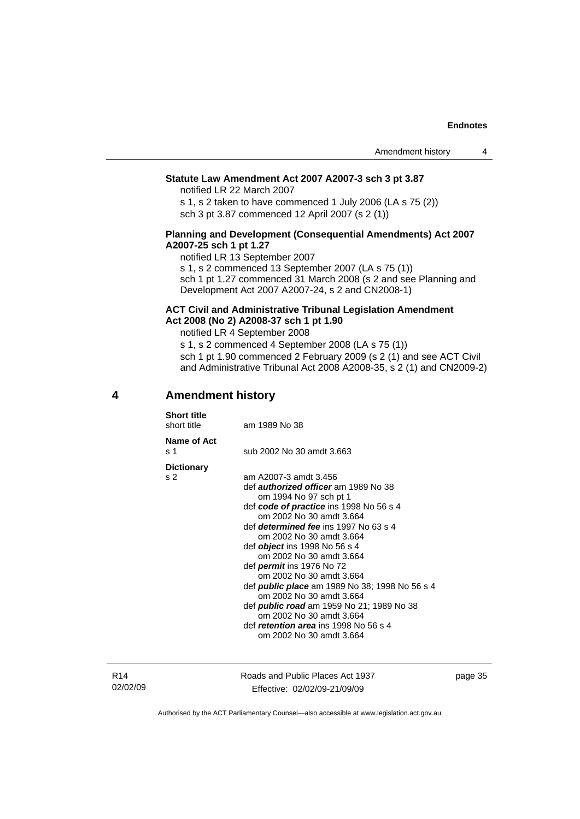### <span id="page-40-0"></span>**Statute Law Amendment Act 2007 A2007-3 sch 3 pt 3.87**

notified LR 22 March 2007

s 1, s 2 taken to have commenced 1 July 2006 (LA s 75 (2)) sch 3 pt 3.87 commenced 12 April 2007 (s 2 (1))

### **Planning and Development (Consequential Amendments) Act 2007 A2007-25 sch 1 pt 1.27**

notified LR 13 September 2007

s 1, s 2 commenced 13 September 2007 (LA s 75 (1))

sch 1 pt 1.27 commenced 31 March 2008 (s 2 and see Planning and Development Act 2007 A2007-24, s 2 and CN2008-1)

### **ACT Civil and Administrative Tribunal Legislation Amendment Act 2008 (No 2) A2008-37 sch 1 pt 1.90**

notified LR 4 September 2008

s 1, s 2 commenced 4 September 2008 (LA s 75 (1)) sch 1 pt 1.90 commenced 2 February 2009 (s 2 (1) and see ACT Civil and Administrative Tribunal Act 2008 A2008-35, s 2 (1) and CN2009-2)

## **4 Amendment history**

| Name of Act<br>s 1                  | sub 2002 No 30 amdt 3.663                                                                                                                                                                                                                                                                                                                                                                                                                                                                                                                                                                                                              |
|-------------------------------------|----------------------------------------------------------------------------------------------------------------------------------------------------------------------------------------------------------------------------------------------------------------------------------------------------------------------------------------------------------------------------------------------------------------------------------------------------------------------------------------------------------------------------------------------------------------------------------------------------------------------------------------|
| <b>Dictionary</b><br>s <sub>2</sub> | am A2007-3 amdt 3.456<br>def <i>authorized officer</i> am 1989 No 38<br>om 1994 No 97 sch pt 1<br>def code of practice ins 1998 No 56 s 4<br>om 2002 No 30 amdt 3.664<br>def <i>determined fee</i> ins 1997 No 63 s 4<br>om 2002 No 30 amdt 3.664<br>def <i>object</i> ins 1998 No 56 s 4<br>om 2002 No 30 amdt 3.664<br>def <i>permit</i> ins 1976 No 72<br>om 2002 No 30 amdt 3.664<br>def <b>public place</b> am 1989 No 38; 1998 No 56 s 4<br>om 2002 No 30 amdt 3.664<br>def <b>public road</b> am 1959 No 21; 1989 No 38<br>om 2002 No 30 amdt 3.664<br>def <i>retention area</i> ins 1998 No 56 s 4<br>om 2002 No 30 amdt 3.664 |

Roads and Public Places Act 1937 Effective: 02/02/09-21/09/09

page 35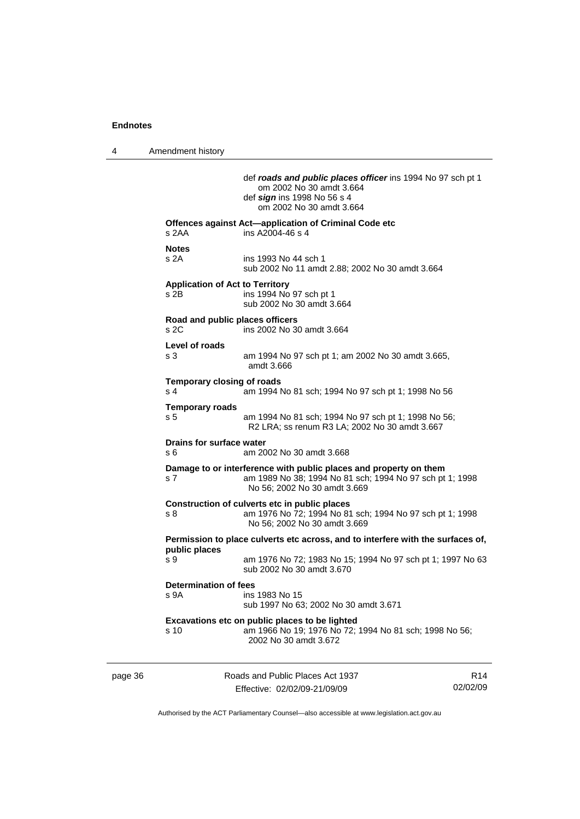4 Amendment history

page 36 **Roads** and Public Places Act 1937 R14 02/02/09 def *roads and public places officer* ins 1994 No 97 sch pt 1 om 2002 No 30 amdt 3.664 def *sign* ins 1998 No 56 s 4 om 2002 No 30 amdt 3.664 **Offences against Act—application of Criminal Code etc**  s 2AA ins A2004-46 s 4 **Notes**  s 2A ins 1993 No 44 sch 1 sub 2002 No 11 amdt 2.88; 2002 No 30 amdt 3.664 **Application of Act to Territory**  s 2B ins 1994 No 97 sch pt 1 sub 2002 No 30 amdt 3.664 **Road and public places officers**  s 2C ins 2002 No 30 amdt 3.664 **Level of roads**  s 3 am 1994 No 97 sch pt 1; am 2002 No 30 amdt 3.665, amdt 3.666 **Temporary closing of roads**  s 4 am 1994 No 81 sch; 1994 No 97 sch pt 1; 1998 No 56 **Temporary roads**  s 5 am 1994 No 81 sch; 1994 No 97 sch pt 1; 1998 No 56; R2 LRA; ss renum R3 LA; 2002 No 30 amdt 3.667 **Drains for surface water**  s 6 am 2002 No 30 amdt 3.668 **Damage to or interference with public places and property on them**  s 7 am 1989 No 38; 1994 No 81 sch; 1994 No 97 sch pt 1; 1998 No 56; 2002 No 30 amdt 3.669 **Construction of culverts etc in public places**  s 8 am 1976 No 72; 1994 No 81 sch; 1994 No 97 sch pt 1; 1998 No 56; 2002 No 30 amdt 3.669 **Permission to place culverts etc across, and to interfere with the surfaces of, public places**  am 1976 No 72; 1983 No 15; 1994 No 97 sch pt 1; 1997 No 63 sub 2002 No 30 amdt 3.670 **Determination of fees**  s 9A ins 1983 No 15 sub 1997 No 63; 2002 No 30 amdt 3.671 **Excavations etc on public places to be lighted**  s 10 am 1966 No 19; 1976 No 72; 1994 No 81 sch; 1998 No 56; 2002 No 30 amdt 3.672

Authorised by the ACT Parliamentary Counsel—also accessible at www.legislation.act.gov.au

Effective: 02/02/09-21/09/09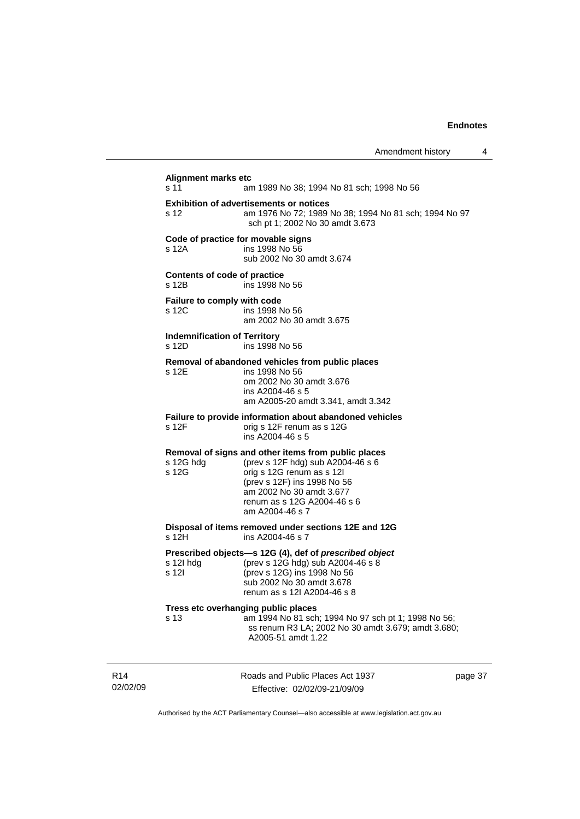| <b>Alignment marks etc</b><br>s 11           | am 1989 No 38; 1994 No 81 sch; 1998 No 56                                                                                                                                                                                          |      |
|----------------------------------------------|------------------------------------------------------------------------------------------------------------------------------------------------------------------------------------------------------------------------------------|------|
| s 12                                         | <b>Exhibition of advertisements or notices</b><br>am 1976 No 72; 1989 No 38; 1994 No 81 sch; 1994 No 97<br>sch pt 1; 2002 No 30 amdt 3.673                                                                                         |      |
| Code of practice for movable signs<br>s 12A  | ins 1998 No 56<br>sub 2002 No 30 amdt 3.674                                                                                                                                                                                        |      |
| Contents of code of practice<br>s 12B        | ins 1998 No 56                                                                                                                                                                                                                     |      |
| Failure to comply with code<br>s 12C         | ins 1998 No 56<br>am 2002 No 30 amdt 3.675                                                                                                                                                                                         |      |
| <b>Indemnification of Territory</b><br>s 12D | ins 1998 No 56                                                                                                                                                                                                                     |      |
| s 12E                                        | Removal of abandoned vehicles from public places<br>ins 1998 No 56<br>om 2002 No 30 amdt 3.676<br>ins A2004-46 s 5<br>am A2005-20 amdt 3.341, amdt 3.342                                                                           |      |
| s 12F                                        | Failure to provide information about abandoned vehicles<br>orig s 12F renum as s 12G<br>ins A2004-46 s 5                                                                                                                           |      |
| s 12G hdg<br>s 12G                           | Removal of signs and other items from public places<br>(prev s 12F hdg) sub A2004-46 s 6<br>orig s 12G renum as s 12l<br>(prev s 12F) ins 1998 No 56<br>am 2002 No 30 amdt 3.677<br>renum as s 12G A2004-46 s 6<br>am A2004-46 s 7 |      |
| s 12H                                        | Disposal of items removed under sections 12E and 12G<br>ins A2004-46 s 7                                                                                                                                                           |      |
| s 12l hdg<br>s 12l                           | Prescribed objects-s 12G (4), def of prescribed object<br>(prev s 12G hdg) sub A2004-46 s 8<br>(prev s 12G) ins 1998 No 56<br>sub 2002 No 30 amdt 3.678<br>renum as s 12l A2004-46 s 8                                             |      |
| s 13                                         | Tress etc overhanging public places<br>am 1994 No 81 sch; 1994 No 97 sch pt 1; 1998 No 56;<br>ss renum R3 LA; 2002 No 30 amdt 3.679; amdt 3.680;<br>A2005-51 amdt 1.22                                                             |      |
|                                              | Roads and Public Places Act 1937                                                                                                                                                                                                   | page |

R14 02/02/09

J.

Effective: 02/02/09-21/09/09

e 37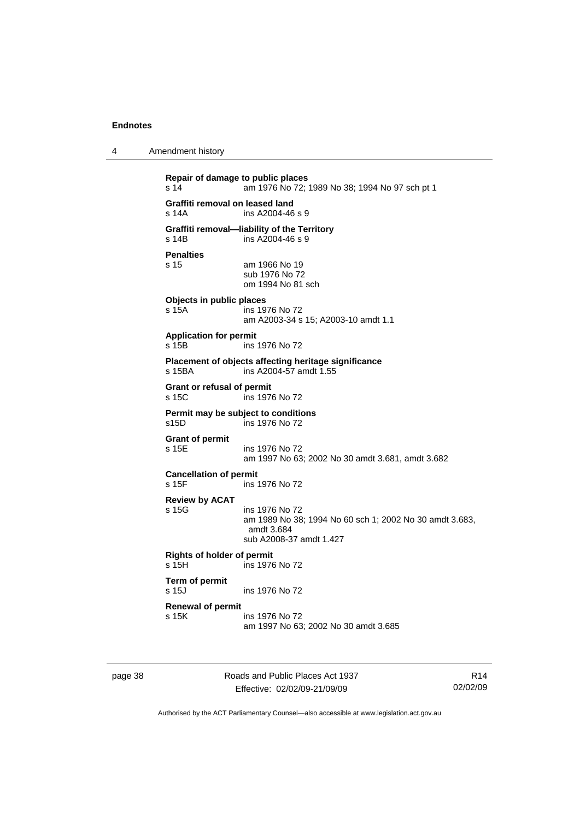| 4 | Amendment history |
|---|-------------------|
|---|-------------------|

```
Repair of damage to public places 
s 14 am 1976 No 72; 1989 No 38; 1994 No 97 sch pt 1 
Graffiti removal on leased land 
s 14A ins A2004-46 s 9 
Graffiti removal—liability of the Territory 
s 14B ins A2004-46 s 9 
Penalties 
                 am 1966 No 19
                  sub 1976 No 72 
                  om 1994 No 81 sch 
Objects in public places 
s 15A ins 1976 No 72 
                  am A2003-34 s 15; A2003-10 amdt 1.1 
Application for permit 
s 15B ins 1976 No 72 
Placement of objects affecting heritage significance 
s 15BA ins A2004-57 amdt 1.55 
Grant or refusal of permit 
s 15C ins 1976 No 72 
Permit may be subject to conditions 
s15D ins 1976 No 72 
Grant of permit 
                 ins 1976 No 72
                  am 1997 No 63; 2002 No 30 amdt 3.681, amdt 3.682 
Cancellation of permit<br>s 15F ins
                 ins 1976 No 72
Review by ACAT 
s 15G ins 1976 No 72 
                  am 1989 No 38; 1994 No 60 sch 1; 2002 No 30 amdt 3.683, 
                  amdt 3.684 
                  sub A2008-37 amdt 1.427 
Rights of holder of permit 
s 15H ins 1976 No 72 
Term of permit 
                 ins 1976 No 72
Renewal of permit 
s 15K ins 1976 No 72 
                  am 1997 No 63; 2002 No 30 amdt 3.685
```
page 38 Roads and Public Places Act 1937 Effective: 02/02/09-21/09/09

R14 02/02/09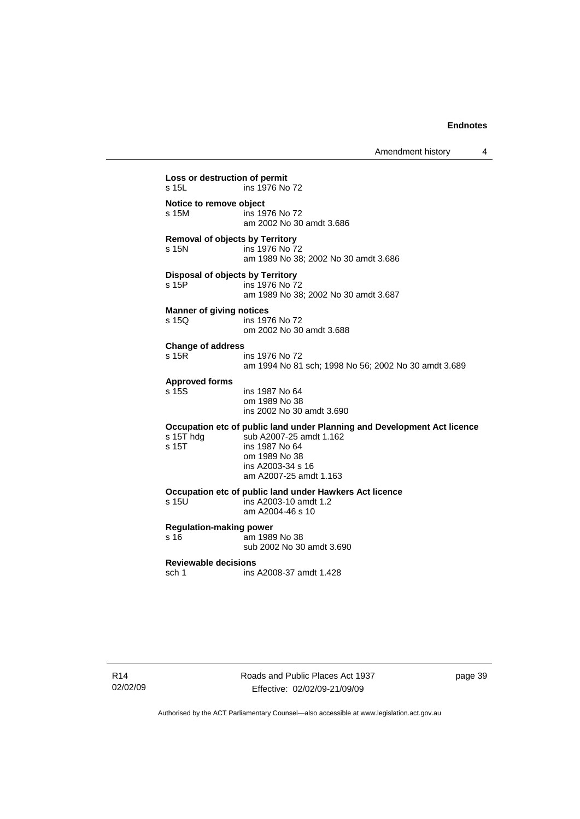Amendment history 4

```
Loss or destruction of permit 
s 15L ins 1976 No 72 
Notice to remove object 
s 15M ins 1976 No 72 
                   am 2002 No 30 amdt 3.686 
Removal of objects by Territory 
                  ins 1976 No 72
                   am 1989 No 38; 2002 No 30 amdt 3.686 
Disposal of objects by Territory<br>
\frac{15P}{15P} ins 1976 No 7
                  ins 1976 No 72
                   am 1989 No 38; 2002 No 30 amdt 3.687 
Manner of giving notices<br>
s 150 ins 197
                  ins 1976 No 72
                   om 2002 No 30 amdt 3.688 
Change of address 
                  ins 1976 No 72
                   am 1994 No 81 sch; 1998 No 56; 2002 No 30 amdt 3.689 
Approved forms 
s 15S ins 1987 No 64 
                   om 1989 No 38 
                   ins 2002 No 30 amdt 3.690 
Occupation etc of public land under Planning and Development Act licence 
s 15T hdg sub A2007-25 amdt 1.162<br>s 15T ins 1987 No 64
                  ins 1987 No 64
                   om 1989 No 38 
                   ins A2003-34 s 16 
                   am A2007-25 amdt 1.163 
Occupation etc of public land under Hawkers Act licence 
s 15U ins A2003-10 amdt 1.2 
                   am A2004-46 s 10 
Regulation-making power 
s 16 am 1989 No 38
                   sub 2002 No 30 amdt 3.690 
Reviewable decisions 
sch 1 ins A2008-37 amdt 1.428
```
R14 02/02/09 page 39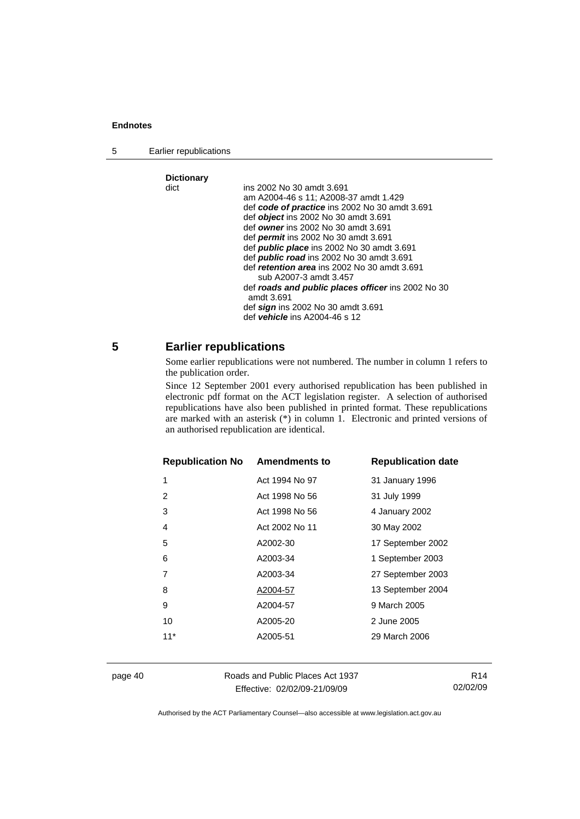<span id="page-45-0"></span>5 Earlier republications

# **Dictionary**

| ins 2002 No 30 amdt 3.691                          |
|----------------------------------------------------|
| am A2004-46 s 11; A2008-37 amdt 1.429              |
| def code of practice ins 2002 No 30 amdt 3.691     |
| def <i>object</i> ins 2002 No 30 amdt 3.691        |
| def owner ins 2002 No 30 amdt 3.691                |
| def <i>permit</i> ins 2002 No 30 amdt 3.691        |
| def <b>public place</b> ins 2002 No 30 amdt 3.691  |
| def <b>public road</b> ins 2002 No 30 amdt 3.691   |
| def retention area ins 2002 No 30 amdt 3.691       |
| sub A2007-3 amdt 3.457                             |
| def roads and public places officer ins 2002 No 30 |
| amdt 3.691                                         |
| def sign ins 2002 No 30 amdt 3.691                 |
| def vehicle ins A2004-46 s 12                      |
|                                                    |

# **5 Earlier republications**

Some earlier republications were not numbered. The number in column 1 refers to the publication order.

Since 12 September 2001 every authorised republication has been published in electronic pdf format on the ACT legislation register. A selection of authorised republications have also been published in printed format. These republications are marked with an asterisk (\*) in column 1. Electronic and printed versions of an authorised republication are identical.

| <b>Republication No Amendments to</b> |                | <b>Republication date</b> |
|---------------------------------------|----------------|---------------------------|
| 1                                     | Act 1994 No 97 | 31 January 1996           |
| 2                                     | Act 1998 No 56 | 31 July 1999              |
| 3                                     | Act 1998 No 56 | 4 January 2002            |
| 4                                     | Act 2002 No 11 | 30 May 2002               |
| 5                                     | A2002-30       | 17 September 2002         |
| 6                                     | A2003-34       | 1 September 2003          |
| 7                                     | A2003-34       | 27 September 2003         |
| 8                                     | A2004-57       | 13 September 2004         |
| 9                                     | A2004-57       | 9 March 2005              |
| 10                                    | A2005-20       | 2 June 2005               |
| $11*$                                 | A2005-51       | 29 March 2006             |
|                                       |                |                           |

page 40 Roads and Public Places Act 1937 Effective: 02/02/09-21/09/09

R14 02/02/09